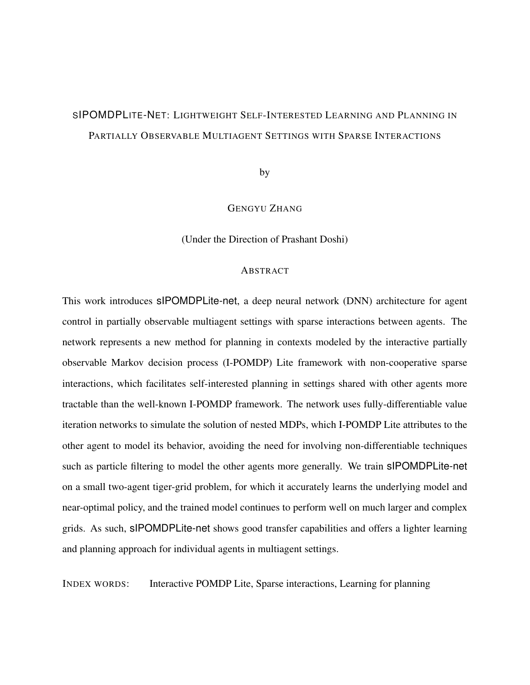## <span id="page-0-0"></span>SIPOMDPLITE-NET: LIGHTWEIGHT SELF-INTERESTED LEARNING AND PLANNING IN PARTIALLY OBSERVABLE MULTIAGENT SETTINGS WITH SPARSE INTERACTIONS

by

#### GENGYU ZHANG

(Under the Direction of Prashant Doshi)

#### **ABSTRACT**

This work introduces sIPOMDPLite-net, a deep neural network (DNN) architecture for agent control in partially observable multiagent settings with sparse interactions between agents. The network represents a new method for planning in contexts modeled by the interactive partially observable Markov decision process (I-POMDP) Lite framework with non-cooperative sparse interactions, which facilitates self-interested planning in settings shared with other agents more tractable than the well-known I-POMDP framework. The network uses fully-differentiable value iteration networks to simulate the solution of nested MDPs, which I-POMDP Lite attributes to the other agent to model its behavior, avoiding the need for involving non-differentiable techniques such as particle filtering to model the other agents more generally. We train sIPOMDPLite-net on a small two-agent tiger-grid problem, for which it accurately learns the underlying model and near-optimal policy, and the trained model continues to perform well on much larger and complex grids. As such, sIPOMDPLite-net shows good transfer capabilities and offers a lighter learning and planning approach for individual agents in multiagent settings.

INDEX WORDS: Interactive POMDP Lite, Sparse interactions, Learning for planning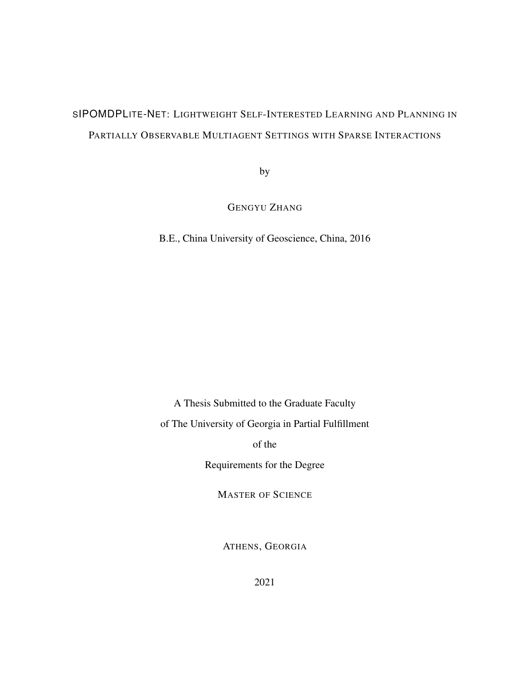# SIPOMDPLITE-NET: LIGHTWEIGHT SELF-INTERESTED LEARNING AND PLANNING IN PARTIALLY OBSERVABLE MULTIAGENT SETTINGS WITH SPARSE INTERACTIONS

by

GENGYU ZHANG

B.E., China University of Geoscience, China, 2016

A Thesis Submitted to the Graduate Faculty

of The University of Georgia in Partial Fulfillment

of the

Requirements for the Degree

MASTER OF SCIENCE

ATHENS, GEORGIA

2021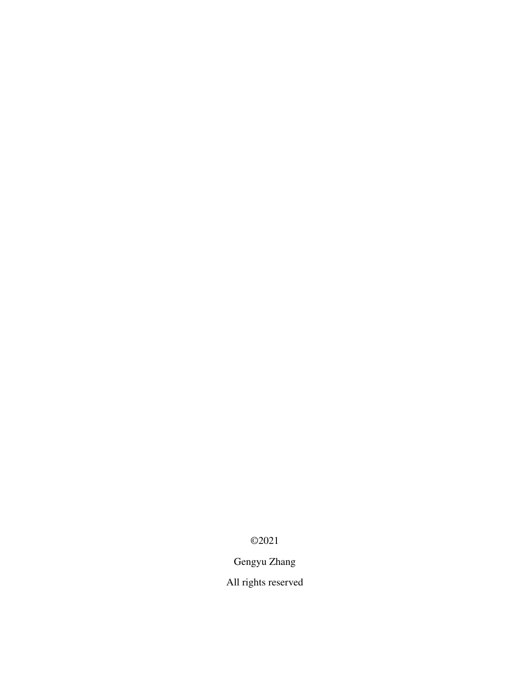©2021

Gengyu Zhang

All rights reserved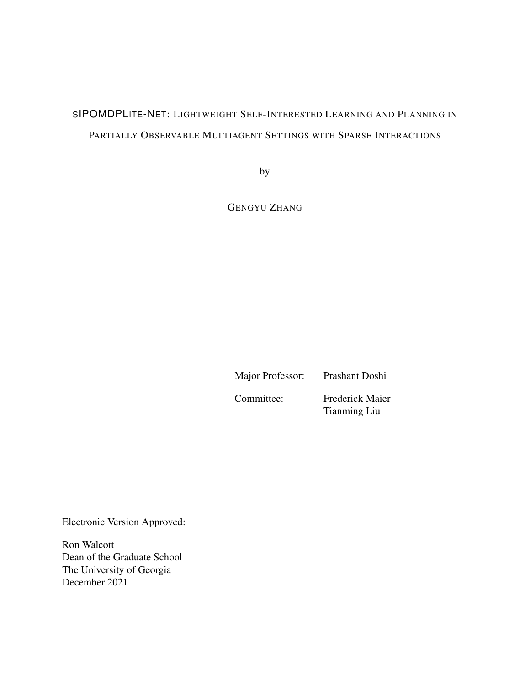## SIPOMDPLITE-NET: LIGHTWEIGHT SELF-INTERESTED LEARNING AND PLANNING IN PARTIALLY OBSERVABLE MULTIAGENT SETTINGS WITH SPARSE INTERACTIONS

by

GENGYU ZHANG

Major Professor: Prashant Doshi Committee: Frederick Maier Tianming Liu

Electronic Version Approved:

Ron Walcott Dean of the Graduate School The University of Georgia December 2021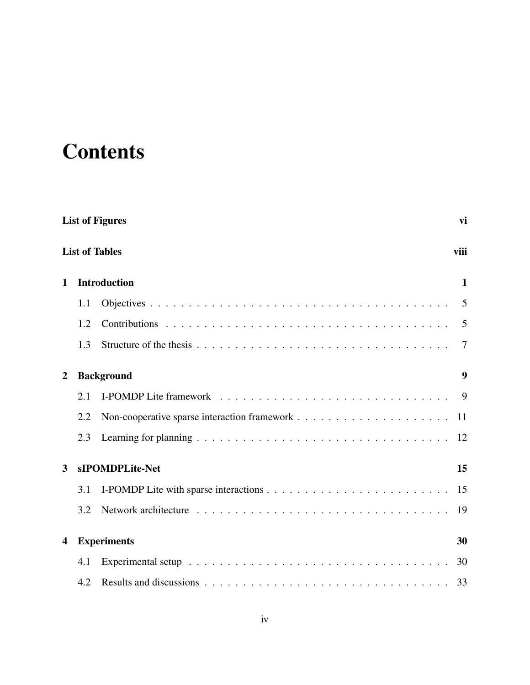# <span id="page-4-0"></span>**Contents**

|                  | <b>List of Figures</b><br>vi |                       |                  |  |  |
|------------------|------------------------------|-----------------------|------------------|--|--|
|                  |                              | <b>List of Tables</b> | viii             |  |  |
| $\mathbf 1$      |                              | <b>Introduction</b>   | $\mathbf 1$      |  |  |
|                  | 1.1                          |                       | 5                |  |  |
|                  | 1.2                          |                       | $\overline{5}$   |  |  |
|                  | 1.3                          |                       | 7                |  |  |
| $\boldsymbol{2}$ |                              | <b>Background</b>     | $\boldsymbol{9}$ |  |  |
|                  | 2.1                          |                       | - 9              |  |  |
|                  | 2.2                          |                       | 11               |  |  |
|                  | 2.3                          |                       | 12               |  |  |
| 3                |                              | sIPOMDPLite-Net       | 15               |  |  |
|                  | 3.1                          |                       | 15               |  |  |
|                  | 3.2                          |                       | 19               |  |  |
| 4                |                              | <b>Experiments</b>    | 30               |  |  |
|                  | 4.1                          |                       | 30               |  |  |
|                  | 4.2                          |                       |                  |  |  |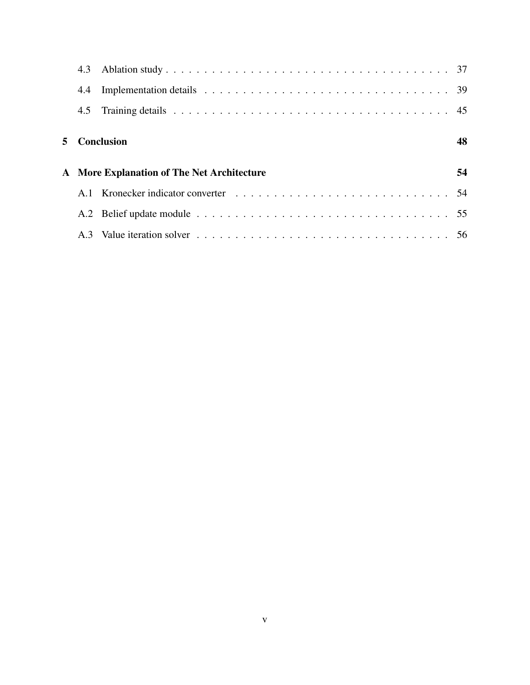| 4.4 |                                                   |    |
|-----|---------------------------------------------------|----|
|     |                                                   |    |
|     | 5 Conclusion                                      | 48 |
|     | <b>A</b> More Explanation of The Net Architecture | 54 |
|     |                                                   |    |
|     |                                                   |    |
|     |                                                   |    |
|     |                                                   |    |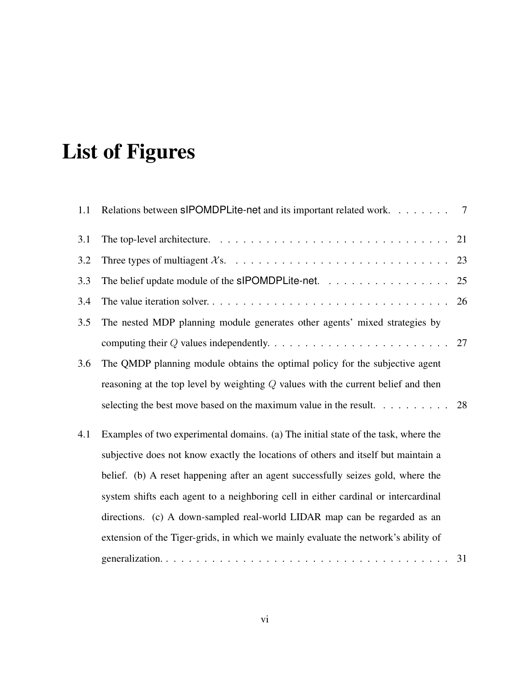# List of Figures

| 1.1 | Relations between slPOMDPLite-net and its important related work. 7                     |    |
|-----|-----------------------------------------------------------------------------------------|----|
| 3.1 |                                                                                         |    |
| 3.2 |                                                                                         | 23 |
| 3.3 | The belief update module of the $s$ POMDPLite-net. $\ldots \ldots \ldots \ldots \ldots$ | 25 |
| 3.4 |                                                                                         | 26 |
| 3.5 | The nested MDP planning module generates other agents' mixed strategies by              |    |
|     |                                                                                         |    |
| 3.6 | The QMDP planning module obtains the optimal policy for the subjective agent            |    |
|     | reasoning at the top level by weighting $Q$ values with the current belief and then     |    |
|     | selecting the best move based on the maximum value in the result. $\dots \dots \dots$   | 28 |
| 4.1 | Examples of two experimental domains. (a) The initial state of the task, where the      |    |
|     | subjective does not know exactly the locations of others and itself but maintain a      |    |
|     | belief. (b) A reset happening after an agent successfully seizes gold, where the        |    |
|     | system shifts each agent to a neighboring cell in either cardinal or intercardinal      |    |
|     | directions. (c) A down-sampled real-world LIDAR map can be regarded as an               |    |
|     | extension of the Tiger-grids, in which we mainly evaluate the network's ability of      |    |
|     |                                                                                         | 31 |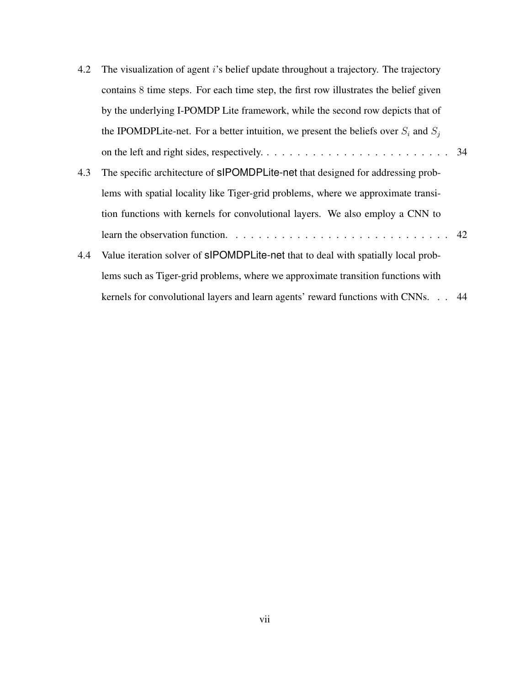| 4.2 | The visualization of agent <i>i</i> 's belief update throughout a trajectory. The trajectory |  |
|-----|----------------------------------------------------------------------------------------------|--|
|     | contains 8 time steps. For each time step, the first row illustrates the belief given        |  |
|     | by the underlying I-POMDP Lite framework, while the second row depicts that of               |  |
|     | the IPOMDPLite-net. For a better intuition, we present the beliefs over $S_i$ and $S_j$      |  |
|     |                                                                                              |  |
| 4.3 | The specific architecture of sIPOMDPLite-net that designed for addressing prob-              |  |
|     | lems with spatial locality like Tiger-grid problems, where we approximate transi-            |  |
|     | tion functions with kernels for convolutional layers. We also employ a CNN to                |  |
|     |                                                                                              |  |
| 4.4 | Value iteration solver of sIPOMDPLite-net that to deal with spatially local prob-            |  |
|     | lems such as Tiger-grid problems, where we approximate transition functions with             |  |
|     | kernels for convolutional layers and learn agents' reward functions with CNNs. 44            |  |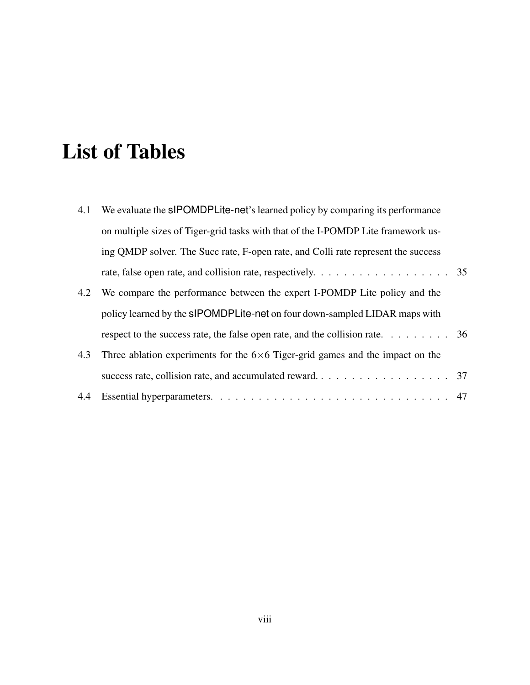# <span id="page-8-0"></span>List of Tables

| 4.1 | We evaluate the sIPOMDPLite-net's learned policy by comparing its performance                                 |  |
|-----|---------------------------------------------------------------------------------------------------------------|--|
|     | on multiple sizes of Tiger-grid tasks with that of the I-POMDP Lite framework us-                             |  |
|     | ing QMDP solver. The Succ rate, F-open rate, and Colli rate represent the success                             |  |
|     | rate, false open rate, and collision rate, respectively. $\dots \dots \dots \dots \dots \dots \dots \dots$ 35 |  |
| 4.2 | We compare the performance between the expert I-POMDP Lite policy and the                                     |  |
|     | policy learned by the slPOMDPLite-net on four down-sampled LIDAR maps with                                    |  |
|     | respect to the success rate, the false open rate, and the collision rate. $\dots \dots$                       |  |
| 4.3 | Three ablation experiments for the $6\times 6$ Tiger-grid games and the impact on the                         |  |
|     |                                                                                                               |  |
| 4.4 |                                                                                                               |  |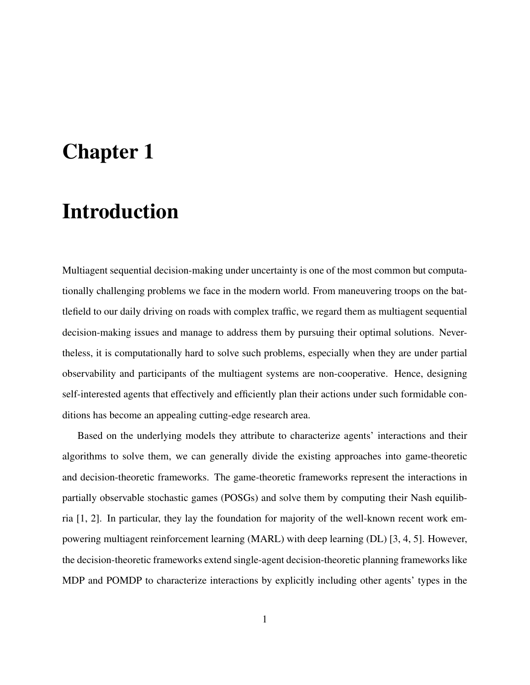# <span id="page-9-0"></span>Chapter 1

# Introduction

Multiagent sequential decision-making under uncertainty is one of the most common but computationally challenging problems we face in the modern world. From maneuvering troops on the battlefield to our daily driving on roads with complex traffic, we regard them as multiagent sequential decision-making issues and manage to address them by pursuing their optimal solutions. Nevertheless, it is computationally hard to solve such problems, especially when they are under partial observability and participants of the multiagent systems are non-cooperative. Hence, designing self-interested agents that effectively and efficiently plan their actions under such formidable conditions has become an appealing cutting-edge research area.

Based on the underlying models they attribute to characterize agents' interactions and their algorithms to solve them, we can generally divide the existing approaches into game-theoretic and decision-theoretic frameworks. The game-theoretic frameworks represent the interactions in partially observable stochastic games (POSGs) and solve them by computing their Nash equilibria [\[1,](#page-58-0) [2\]](#page-58-1). In particular, they lay the foundation for majority of the well-known recent work empowering multiagent reinforcement learning (MARL) with deep learning (DL) [\[3,](#page-58-2) [4,](#page-58-3) [5\]](#page-58-4). However, the decision-theoretic frameworks extend single-agent decision-theoretic planning frameworks like MDP and POMDP to characterize interactions by explicitly including other agents' types in the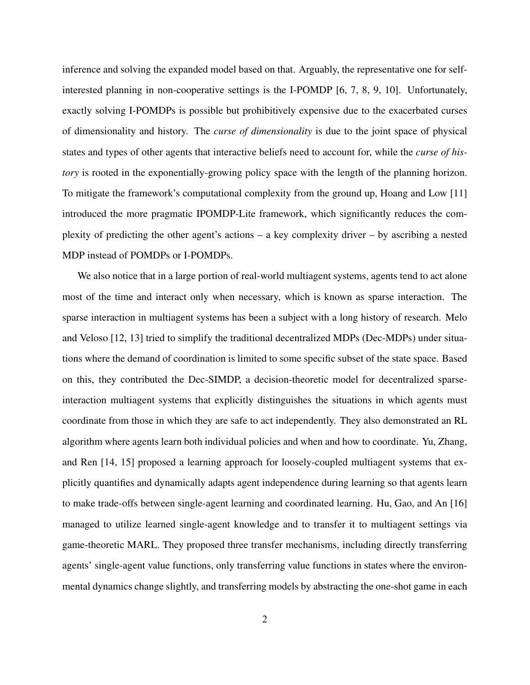inference and solving the expanded model based on that. Arguably, the representative one for selfinterested planning in non-cooperative settings is the I-POMDP [\[6,](#page-58-5) [7,](#page-59-0) [8,](#page-59-1) [9,](#page-59-2) [10\]](#page-59-3). Unfortunately, exactly solving I-POMDPs is possible but prohibitively expensive due to the exacerbated curses of dimensionality and history. The *curse of dimensionality* is due to the joint space of physical states and types of other agents that interactive beliefs need to account for, while the *curse of history* is rooted in the exponentially-growing policy space with the length of the planning horizon. To mitigate the framework's computational complexity from the ground up, Hoang and Low [\[11\]](#page-59-4) introduced the more pragmatic IPOMDP-Lite framework, which significantly reduces the complexity of predicting the other agent's actions – a key complexity driver – by ascribing a nested MDP instead of POMDPs or I-POMDPs.

We also notice that in a large portion of real-world multiagent systems, agents tend to act alone most of the time and interact only when necessary, which is known as sparse interaction. The sparse interaction in multiagent systems has been a subject with a long history of research. Melo and Veloso [\[12,](#page-59-5) [13\]](#page-59-6) tried to simplify the traditional decentralized MDPs (Dec-MDPs) under situations where the demand of coordination is limited to some specific subset of the state space. Based on this, they contributed the Dec-SIMDP, a decision-theoretic model for decentralized sparseinteraction multiagent systems that explicitly distinguishes the situations in which agents must coordinate from those in which they are safe to act independently. They also demonstrated an RL algorithm where agents learn both individual policies and when and how to coordinate. Yu, Zhang, and Ren [\[14,](#page-59-7) [15\]](#page-59-8) proposed a learning approach for loosely-coupled multiagent systems that explicitly quantifies and dynamically adapts agent independence during learning so that agents learn to make trade-offs between single-agent learning and coordinated learning. Hu, Gao, and An [\[16\]](#page-60-0) managed to utilize learned single-agent knowledge and to transfer it to multiagent settings via game-theoretic MARL. They proposed three transfer mechanisms, including directly transferring agents' single-agent value functions, only transferring value functions in states where the environmental dynamics change slightly, and transferring models by abstracting the one-shot game in each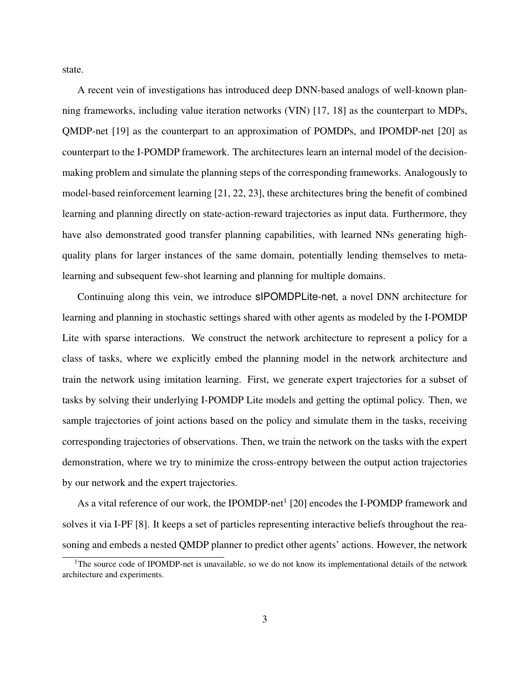state.

A recent vein of investigations has introduced deep DNN-based analogs of well-known planning frameworks, including value iteration networks (VIN) [\[17,](#page-60-1) [18\]](#page-60-2) as the counterpart to MDPs, QMDP-net [\[19\]](#page-60-3) as the counterpart to an approximation of POMDPs, and IPOMDP-net [\[20\]](#page-60-4) as counterpart to the I-POMDP framework. The architectures learn an internal model of the decisionmaking problem and simulate the planning steps of the corresponding frameworks. Analogously to model-based reinforcement learning [\[21,](#page-60-5) [22,](#page-60-6) [23\]](#page-60-7), these architectures bring the benefit of combined learning and planning directly on state-action-reward trajectories as input data. Furthermore, they have also demonstrated good transfer planning capabilities, with learned NNs generating highquality plans for larger instances of the same domain, potentially lending themselves to metalearning and subsequent few-shot learning and planning for multiple domains.

Continuing along this vein, we introduce sIPOMDPLite-net, a novel DNN architecture for learning and planning in stochastic settings shared with other agents as modeled by the I-POMDP Lite with sparse interactions. We construct the network architecture to represent a policy for a class of tasks, where we explicitly embed the planning model in the network architecture and train the network using imitation learning. First, we generate expert trajectories for a subset of tasks by solving their underlying I-POMDP Lite models and getting the optimal policy. Then, we sample trajectories of joint actions based on the policy and simulate them in the tasks, receiving corresponding trajectories of observations. Then, we train the network on the tasks with the expert demonstration, where we try to minimize the cross-entropy between the output action trajectories by our network and the expert trajectories.

As a vital reference of our work, the IPOMDP-net<sup>[1](#page-0-0)</sup> [\[20\]](#page-60-4) encodes the I-POMDP framework and solves it via I-PF [\[8\]](#page-59-1). It keeps a set of particles representing interactive beliefs throughout the reasoning and embeds a nested QMDP planner to predict other agents' actions. However, the network

<sup>&</sup>lt;sup>1</sup>The source code of IPOMDP-net is unavailable, so we do not know its implementational details of the network architecture and experiments.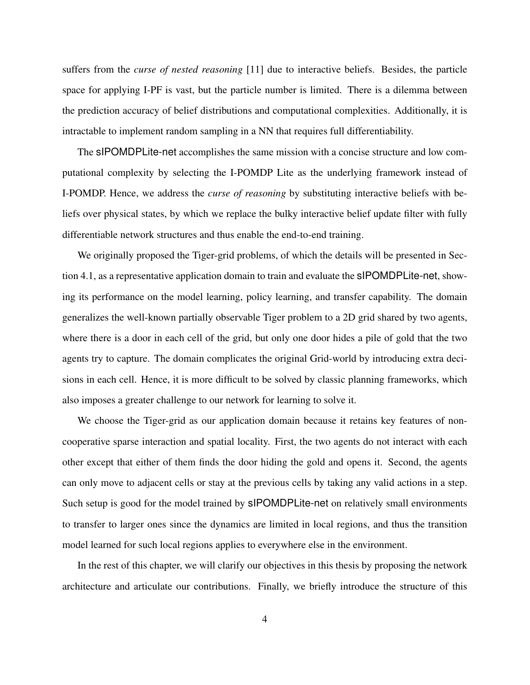suffers from the *curse of nested reasoning* [\[11\]](#page-59-4) due to interactive beliefs. Besides, the particle space for applying I-PF is vast, but the particle number is limited. There is a dilemma between the prediction accuracy of belief distributions and computational complexities. Additionally, it is intractable to implement random sampling in a NN that requires full differentiability.

The sIPOMDPLite-net accomplishes the same mission with a concise structure and low computational complexity by selecting the I-POMDP Lite as the underlying framework instead of I-POMDP. Hence, we address the *curse of reasoning* by substituting interactive beliefs with beliefs over physical states, by which we replace the bulky interactive belief update filter with fully differentiable network structures and thus enable the end-to-end training.

We originally proposed the Tiger-grid problems, of which the details will be presented in Section [4.1,](#page-38-1) as a representative application domain to train and evaluate the sIPOMDPLite-net, showing its performance on the model learning, policy learning, and transfer capability. The domain generalizes the well-known partially observable Tiger problem to a 2D grid shared by two agents, where there is a door in each cell of the grid, but only one door hides a pile of gold that the two agents try to capture. The domain complicates the original Grid-world by introducing extra decisions in each cell. Hence, it is more difficult to be solved by classic planning frameworks, which also imposes a greater challenge to our network for learning to solve it.

We choose the Tiger-grid as our application domain because it retains key features of noncooperative sparse interaction and spatial locality. First, the two agents do not interact with each other except that either of them finds the door hiding the gold and opens it. Second, the agents can only move to adjacent cells or stay at the previous cells by taking any valid actions in a step. Such setup is good for the model trained by sIPOMDPLite-net on relatively small environments to transfer to larger ones since the dynamics are limited in local regions, and thus the transition model learned for such local regions applies to everywhere else in the environment.

In the rest of this chapter, we will clarify our objectives in this thesis by proposing the network architecture and articulate our contributions. Finally, we briefly introduce the structure of this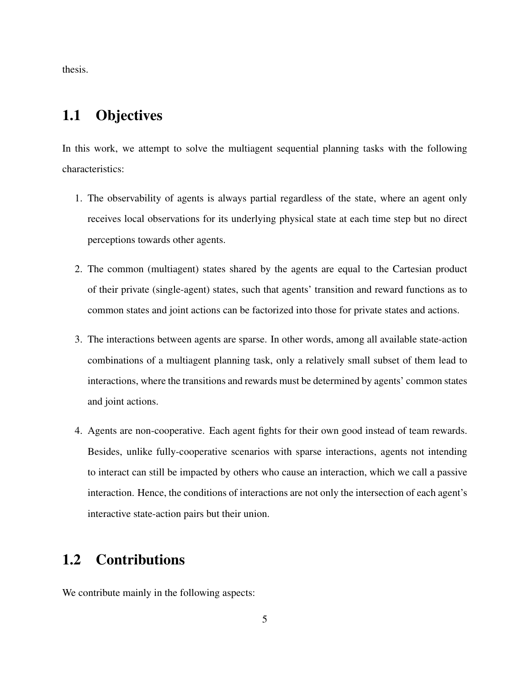thesis.

## <span id="page-13-0"></span>1.1 Objectives

In this work, we attempt to solve the multiagent sequential planning tasks with the following characteristics:

- 1. The observability of agents is always partial regardless of the state, where an agent only receives local observations for its underlying physical state at each time step but no direct perceptions towards other agents.
- 2. The common (multiagent) states shared by the agents are equal to the Cartesian product of their private (single-agent) states, such that agents' transition and reward functions as to common states and joint actions can be factorized into those for private states and actions.
- 3. The interactions between agents are sparse. In other words, among all available state-action combinations of a multiagent planning task, only a relatively small subset of them lead to interactions, where the transitions and rewards must be determined by agents' common states and joint actions.
- 4. Agents are non-cooperative. Each agent fights for their own good instead of team rewards. Besides, unlike fully-cooperative scenarios with sparse interactions, agents not intending to interact can still be impacted by others who cause an interaction, which we call a passive interaction. Hence, the conditions of interactions are not only the intersection of each agent's interactive state-action pairs but their union.

## <span id="page-13-1"></span>1.2 Contributions

We contribute mainly in the following aspects: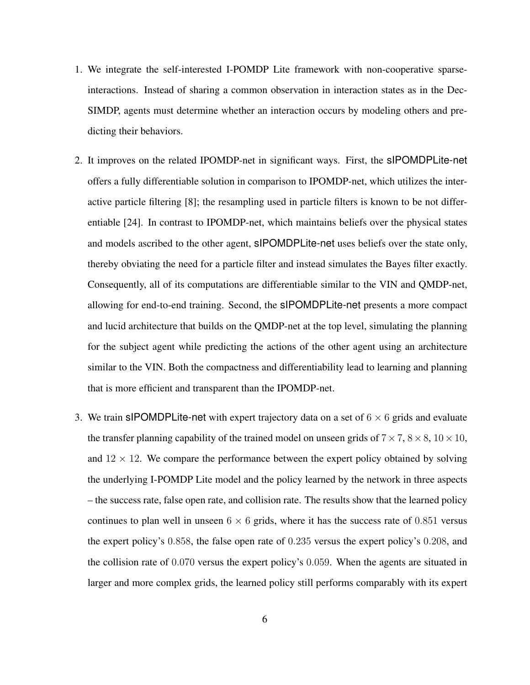- 1. We integrate the self-interested I-POMDP Lite framework with non-cooperative sparseinteractions. Instead of sharing a common observation in interaction states as in the Dec-SIMDP, agents must determine whether an interaction occurs by modeling others and predicting their behaviors.
- 2. It improves on the related IPOMDP-net in significant ways. First, the sIPOMDPLite-net offers a fully differentiable solution in comparison to IPOMDP-net, which utilizes the interactive particle filtering [\[8\]](#page-59-1); the resampling used in particle filters is known to be not differentiable [\[24\]](#page-60-8). In contrast to IPOMDP-net, which maintains beliefs over the physical states and models ascribed to the other agent, sIPOMDPLite-net uses beliefs over the state only, thereby obviating the need for a particle filter and instead simulates the Bayes filter exactly. Consequently, all of its computations are differentiable similar to the VIN and QMDP-net, allowing for end-to-end training. Second, the sIPOMDPLite-net presents a more compact and lucid architecture that builds on the QMDP-net at the top level, simulating the planning for the subject agent while predicting the actions of the other agent using an architecture similar to the VIN. Both the compactness and differentiability lead to learning and planning that is more efficient and transparent than the IPOMDP-net.
- 3. We train sIPOMDPLite-net with expert trajectory data on a set of  $6 \times 6$  grids and evaluate the transfer planning capability of the trained model on unseen grids of  $7 \times 7$ ,  $8 \times 8$ ,  $10 \times 10$ , and  $12 \times 12$ . We compare the performance between the expert policy obtained by solving the underlying I-POMDP Lite model and the policy learned by the network in three aspects – the success rate, false open rate, and collision rate. The results show that the learned policy continues to plan well in unseen  $6 \times 6$  grids, where it has the success rate of 0.851 versus the expert policy's 0.858, the false open rate of 0.235 versus the expert policy's 0.208, and the collision rate of 0.070 versus the expert policy's 0.059. When the agents are situated in larger and more complex grids, the learned policy still performs comparably with its expert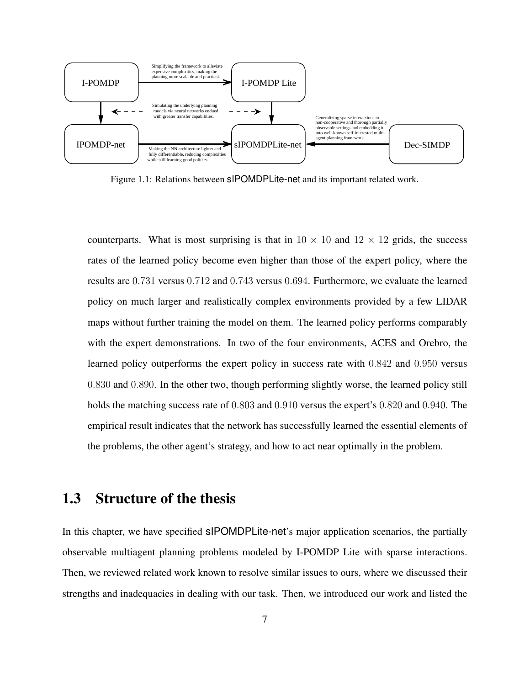<span id="page-15-1"></span>

Figure 1.1: Relations between sIPOMDPLite-net and its important related work.

counterparts. What is most surprising is that in  $10 \times 10$  and  $12 \times 12$  grids, the success rates of the learned policy become even higher than those of the expert policy, where the results are 0.731 versus 0.712 and 0.743 versus 0.694. Furthermore, we evaluate the learned policy on much larger and realistically complex environments provided by a few LIDAR maps without further training the model on them. The learned policy performs comparably with the expert demonstrations. In two of the four environments, ACES and Orebro, the learned policy outperforms the expert policy in success rate with 0.842 and 0.950 versus 0.830 and 0.890. In the other two, though performing slightly worse, the learned policy still holds the matching success rate of 0.803 and 0.910 versus the expert's 0.820 and 0.940. The empirical result indicates that the network has successfully learned the essential elements of the problems, the other agent's strategy, and how to act near optimally in the problem.

## <span id="page-15-0"></span>1.3 Structure of the thesis

In this chapter, we have specified sIPOMDPLite-net's major application scenarios, the partially observable multiagent planning problems modeled by I-POMDP Lite with sparse interactions. Then, we reviewed related work known to resolve similar issues to ours, where we discussed their strengths and inadequacies in dealing with our task. Then, we introduced our work and listed the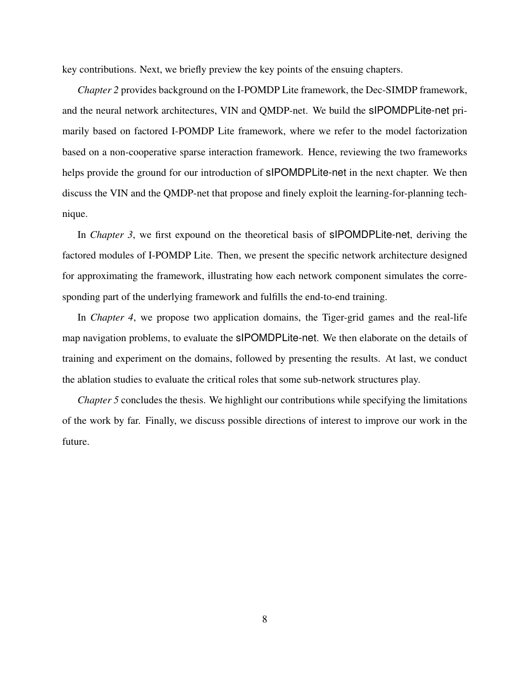key contributions. Next, we briefly preview the key points of the ensuing chapters.

*Chapter 2* provides background on the I-POMDP Lite framework, the Dec-SIMDP framework, and the neural network architectures, VIN and QMDP-net. We build the sIPOMDPLite-net primarily based on factored I-POMDP Lite framework, where we refer to the model factorization based on a non-cooperative sparse interaction framework. Hence, reviewing the two frameworks helps provide the ground for our introduction of **sIPOMDPLite-net** in the next chapter. We then discuss the VIN and the QMDP-net that propose and finely exploit the learning-for-planning technique.

In *Chapter 3*, we first expound on the theoretical basis of sIPOMDPLite-net, deriving the factored modules of I-POMDP Lite. Then, we present the specific network architecture designed for approximating the framework, illustrating how each network component simulates the corresponding part of the underlying framework and fulfills the end-to-end training.

In *Chapter 4*, we propose two application domains, the Tiger-grid games and the real-life map navigation problems, to evaluate the sIPOMDPLite-net. We then elaborate on the details of training and experiment on the domains, followed by presenting the results. At last, we conduct the ablation studies to evaluate the critical roles that some sub-network structures play.

*Chapter 5* concludes the thesis. We highlight our contributions while specifying the limitations of the work by far. Finally, we discuss possible directions of interest to improve our work in the future.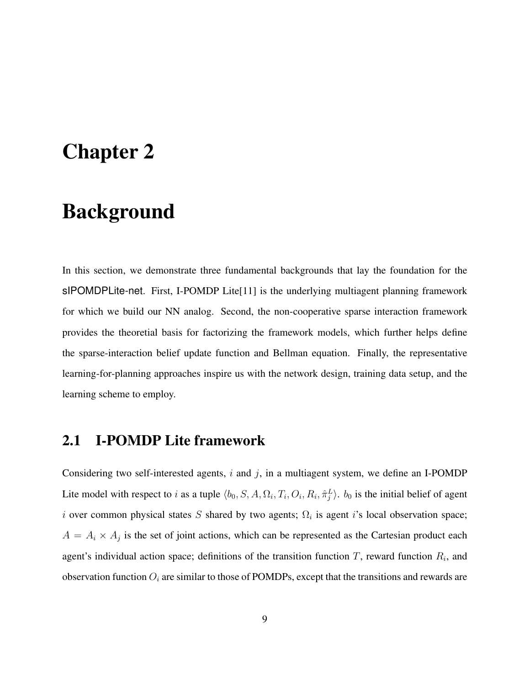# <span id="page-17-0"></span>Chapter 2

# Background

In this section, we demonstrate three fundamental backgrounds that lay the foundation for the sIPOMDPLite-net. First, I-POMDP Lite[\[11\]](#page-59-4) is the underlying multiagent planning framework for which we build our NN analog. Second, the non-cooperative sparse interaction framework provides the theoretial basis for factorizing the framework models, which further helps define the sparse-interaction belief update function and Bellman equation. Finally, the representative learning-for-planning approaches inspire us with the network design, training data setup, and the learning scheme to employ.

## <span id="page-17-1"></span>2.1 I-POMDP Lite framework

Considering two self-interested agents,  $i$  and  $j$ , in a multiagent system, we define an I-POMDP Lite model with respect to i as a tuple  $\langle b_0, S, A, \Omega_i, T_i, O_i, R_i, \hat{\pi}_j^L \rangle$ .  $b_0$  is the initial belief of agent i over common physical states S shared by two agents;  $\Omega_i$  is agent i's local observation space;  $A = A_i \times A_j$  is the set of joint actions, which can be represented as the Cartesian product each agent's individual action space; definitions of the transition function T, reward function  $R_i$ , and observation function  $O_i$  are similar to those of POMDPs, except that the transitions and rewards are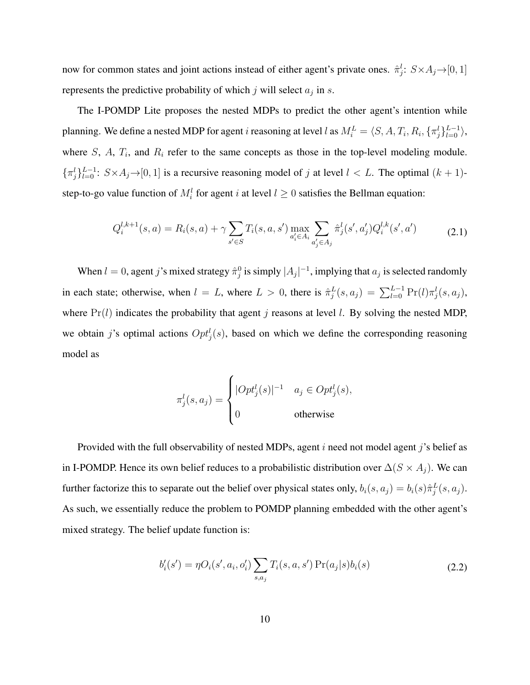now for common states and joint actions instead of either agent's private ones.  $\hat{\pi}_j^l$ :  $S \times A_j \rightarrow [0, 1]$ represents the predictive probability of which j will select  $a_j$  in s.

The I-POMDP Lite proposes the nested MDPs to predict the other agent's intention while planning. We define a nested MDP for agent *i* reasoning at level *l* as  $M_i^L = \langle S, A, T_i, R_i, \{\pi_j^l\}_{l=0}^{L-1} \rangle$ , where  $S$ ,  $A$ ,  $T_i$ , and  $R_i$  refer to the same concepts as those in the top-level modeling module.  $\{\pi_j^l\}_{l=0}^{L-1}$ :  $S \times A_j \rightarrow [0, 1]$  is a recursive reasoning model of j at level  $l < L$ . The optimal  $(k + 1)$ step-to-go value function of  $M_i^l$  for agent i at level  $l \geq 0$  satisfies the Bellman equation:

$$
Q_i^{l,k+1}(s,a) = R_i(s,a) + \gamma \sum_{s' \in S} T_i(s,a,s') \max_{a'_i \in A_i} \sum_{a'_j \in A_j} \hat{\pi}_j^l(s',a'_j) Q_i^{l,k}(s',a')
$$
(2.1)

When  $l = 0$ , agent j's mixed strategy  $\hat{\pi}_j^0$  is simply  $|A_j|^{-1}$ , implying that  $a_j$  is selected randomly in each state; otherwise, when  $l = L$ , where  $L > 0$ , there is  $\hat{\pi}_{j}^{L}(s, a_{j}) = \sum_{l=0}^{L-1} \Pr(l)\pi_{j}^{l}(s, a_{j})$ , where  $Pr(l)$  indicates the probability that agent j reasons at level l. By solving the nested MDP, we obtain j's optimal actions  $Opt_j^l(s)$ , based on which we define the corresponding reasoning model as

<span id="page-18-1"></span>
$$
\pi_j^l(s, a_j) = \begin{cases}\n|Opt_j^l(s)|^{-1} & a_j \in Opt_j^l(s), \\
0 & \text{otherwise}\n\end{cases}
$$

Provided with the full observability of nested MDPs, agent i need not model agent j's belief as in I-POMDP. Hence its own belief reduces to a probabilistic distribution over  $\Delta(S \times A_j)$ . We can further factorize this to separate out the belief over physical states only,  $b_i(s, a_j) = b_i(s)\hat{\pi}^L_j(s, a_j)$ . As such, we essentially reduce the problem to POMDP planning embedded with the other agent's mixed strategy. The belief update function is:

<span id="page-18-0"></span>
$$
b'_{i}(s') = \eta O_{i}(s', a_{i}, o'_{i}) \sum_{s, a_{j}} T_{i}(s, a, s') \Pr(a_{j}|s) b_{i}(s)
$$
\n(2.2)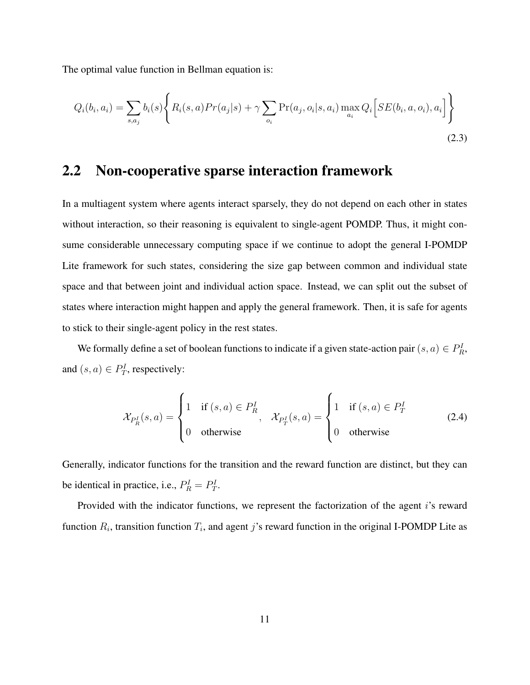The optimal value function in Bellman equation is:

$$
Q_i(b_i, a_i) = \sum_{s, a_j} b_i(s) \left\{ R_i(s, a) Pr(a_j|s) + \gamma \sum_{o_i} \Pr(a_j, o_i|s, a_i) \max_{a_i} Q_i \left[ SE(b_i, a, o_i), a_i \right] \right\}
$$
\n(2.3)

## <span id="page-19-0"></span>2.2 Non-cooperative sparse interaction framework

In a multiagent system where agents interact sparsely, they do not depend on each other in states without interaction, so their reasoning is equivalent to single-agent POMDP. Thus, it might consume considerable unnecessary computing space if we continue to adopt the general I-POMDP Lite framework for such states, considering the size gap between common and individual state space and that between joint and individual action space. Instead, we can split out the subset of states where interaction might happen and apply the general framework. Then, it is safe for agents to stick to their single-agent policy in the rest states.

We formally define a set of boolean functions to indicate if a given state-action pair  $(s, a) \in P_R^I$ , and  $(s, a) \in P_T^I$ , respectively:

$$
\mathcal{X}_{P_R^I}(s, a) = \begin{cases} 1 & \text{if } (s, a) \in P_R^I \\ 0 & \text{otherwise} \end{cases}, \quad \mathcal{X}_{P_T^I}(s, a) = \begin{cases} 1 & \text{if } (s, a) \in P_T^I \\ 0 & \text{otherwise} \end{cases} \tag{2.4}
$$

Generally, indicator functions for the transition and the reward function are distinct, but they can be identical in practice, i.e.,  $P_R^I = P_T^I$ .

Provided with the indicator functions, we represent the factorization of the agent *i*'s reward function  $R_i$ , transition function  $T_i$ , and agent j's reward function in the original I-POMDP Lite as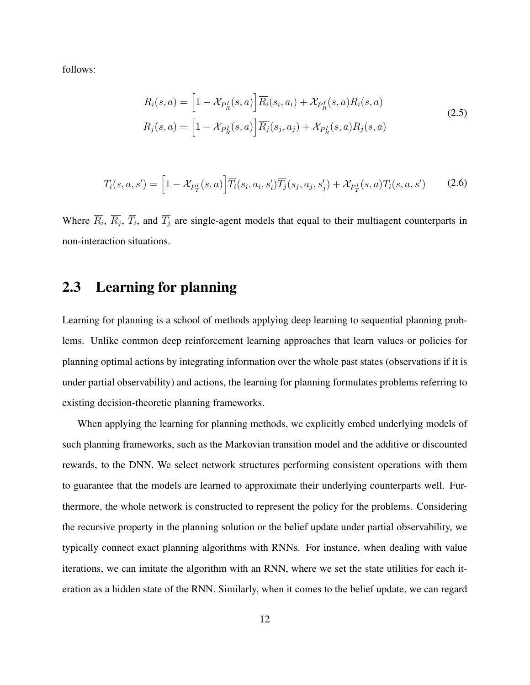follows:

<span id="page-20-2"></span><span id="page-20-1"></span>
$$
R_i(s, a) = \left[1 - \mathcal{X}_{P_R^I}(s, a)\right] \overline{R}_i(s_i, a_i) + \mathcal{X}_{P_R^I}(s, a) R_i(s, a)
$$
  
\n
$$
R_j(s, a) = \left[1 - \mathcal{X}_{P_R^I}(s, a)\right] \overline{R}_j(s_j, a_j) + \mathcal{X}_{P_R^I}(s, a) R_j(s, a)
$$
\n(2.5)

$$
T_i(s, a, s') = \left[1 - \mathcal{X}_{P_T^I}(s, a)\right] \overline{T}_i(s_i, a_i, s_i') \overline{T}_j(s_j, a_j, s_j') + \mathcal{X}_{P_T^I}(s, a) T_i(s, a, s') \tag{2.6}
$$

Where  $R_i$ ,  $R_j$ ,  $T_i$ , and  $T_j$  are single-agent models that equal to their multiagent counterparts in non-interaction situations.

## <span id="page-20-0"></span>2.3 Learning for planning

Learning for planning is a school of methods applying deep learning to sequential planning problems. Unlike common deep reinforcement learning approaches that learn values or policies for planning optimal actions by integrating information over the whole past states (observations if it is under partial observability) and actions, the learning for planning formulates problems referring to existing decision-theoretic planning frameworks.

When applying the learning for planning methods, we explicitly embed underlying models of such planning frameworks, such as the Markovian transition model and the additive or discounted rewards, to the DNN. We select network structures performing consistent operations with them to guarantee that the models are learned to approximate their underlying counterparts well. Furthermore, the whole network is constructed to represent the policy for the problems. Considering the recursive property in the planning solution or the belief update under partial observability, we typically connect exact planning algorithms with RNNs. For instance, when dealing with value iterations, we can imitate the algorithm with an RNN, where we set the state utilities for each iteration as a hidden state of the RNN. Similarly, when it comes to the belief update, we can regard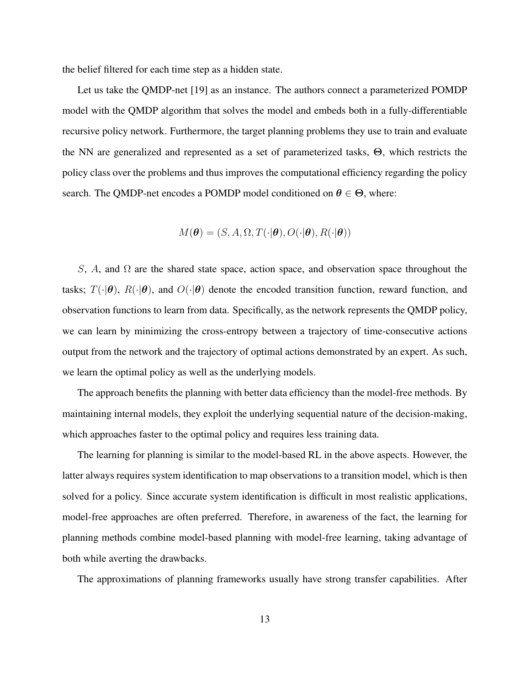the belief filtered for each time step as a hidden state.

Let us take the QMDP-net [\[19\]](#page-60-3) as an instance. The authors connect a parameterized POMDP model with the QMDP algorithm that solves the model and embeds both in a fully-differentiable recursive policy network. Furthermore, the target planning problems they use to train and evaluate the NN are generalized and represented as a set of parameterized tasks, Θ, which restricts the policy class over the problems and thus improves the computational efficiency regarding the policy search. The QMDP-net encodes a POMDP model conditioned on  $\theta \in \Theta$ , where:

$$
M(\boldsymbol{\theta}) = (S, A, \Omega, T(\cdot | \boldsymbol{\theta}), O(\cdot | \boldsymbol{\theta}), R(\cdot | \boldsymbol{\theta}))
$$

S, A, and  $\Omega$  are the shared state space, action space, and observation space throughout the tasks;  $T(\cdot|\theta)$ ,  $R(\cdot|\theta)$ , and  $O(\cdot|\theta)$  denote the encoded transition function, reward function, and observation functions to learn from data. Specifically, as the network represents the QMDP policy, we can learn by minimizing the cross-entropy between a trajectory of time-consecutive actions output from the network and the trajectory of optimal actions demonstrated by an expert. As such, we learn the optimal policy as well as the underlying models.

The approach benefits the planning with better data efficiency than the model-free methods. By maintaining internal models, they exploit the underlying sequential nature of the decision-making, which approaches faster to the optimal policy and requires less training data.

The learning for planning is similar to the model-based RL in the above aspects. However, the latter always requires system identification to map observations to a transition model, which is then solved for a policy. Since accurate system identification is difficult in most realistic applications, model-free approaches are often preferred. Therefore, in awareness of the fact, the learning for planning methods combine model-based planning with model-free learning, taking advantage of both while averting the drawbacks.

The approximations of planning frameworks usually have strong transfer capabilities. After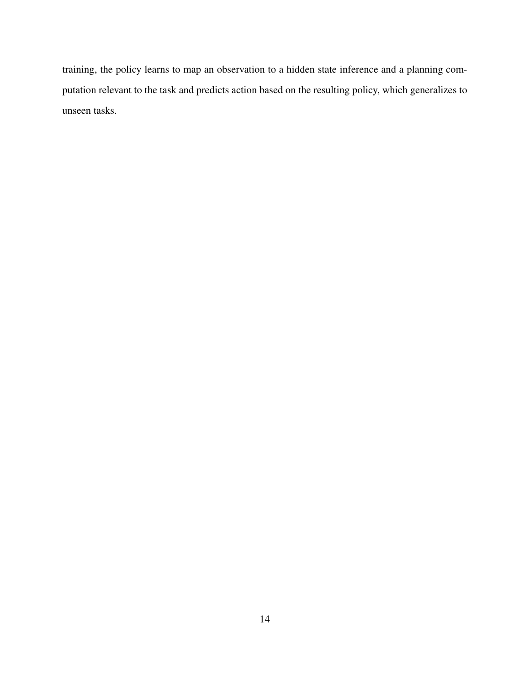training, the policy learns to map an observation to a hidden state inference and a planning computation relevant to the task and predicts action based on the resulting policy, which generalizes to unseen tasks.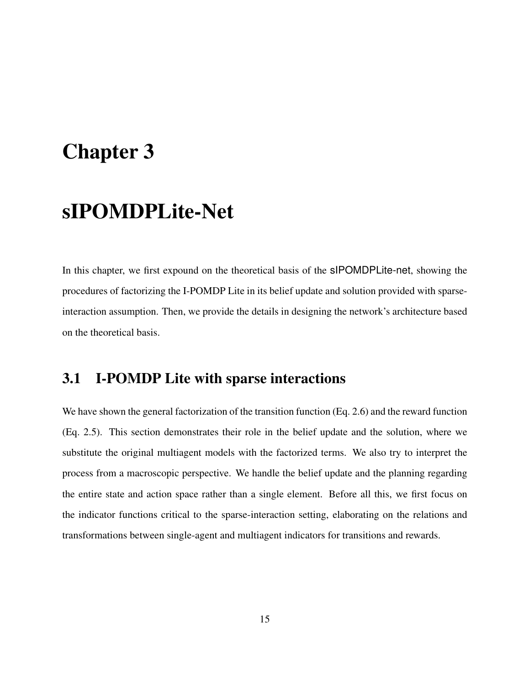# <span id="page-23-0"></span>Chapter 3

# sIPOMDPLite-Net

In this chapter, we first expound on the theoretical basis of the sIPOMDPLite-net, showing the procedures of factorizing the I-POMDP Lite in its belief update and solution provided with sparseinteraction assumption. Then, we provide the details in designing the network's architecture based on the theoretical basis.

## <span id="page-23-1"></span>3.1 I-POMDP Lite with sparse interactions

We have shown the general factorization of the transition function (Eq. [2.6\)](#page-20-1) and the reward function (Eq. [2.5\)](#page-20-2). This section demonstrates their role in the belief update and the solution, where we substitute the original multiagent models with the factorized terms. We also try to interpret the process from a macroscopic perspective. We handle the belief update and the planning regarding the entire state and action space rather than a single element. Before all this, we first focus on the indicator functions critical to the sparse-interaction setting, elaborating on the relations and transformations between single-agent and multiagent indicators for transitions and rewards.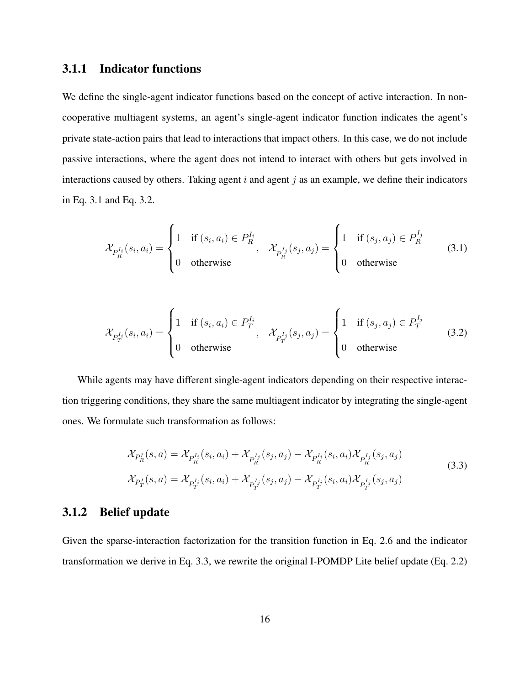### <span id="page-24-3"></span>3.1.1 Indicator functions

We define the single-agent indicator functions based on the concept of active interaction. In noncooperative multiagent systems, an agent's single-agent indicator function indicates the agent's private state-action pairs that lead to interactions that impact others. In this case, we do not include passive interactions, where the agent does not intend to interact with others but gets involved in interactions caused by others. Taking agent  $i$  and agent  $j$  as an example, we define their indicators in Eq. [3.1](#page-24-0) and Eq. [3.2.](#page-24-1)

<span id="page-24-0"></span>
$$
\mathcal{X}_{P_R^{I_i}}(s_i, a_i) = \begin{cases} 1 & \text{if } (s_i, a_i) \in P_R^{I_i}, \\ 0 & \text{otherwise} \end{cases}, \quad \mathcal{X}_{P_R^{I_j}}(s_j, a_j) = \begin{cases} 1 & \text{if } (s_j, a_j) \in P_R^{I_j} \\ 0 & \text{otherwise} \end{cases} \tag{3.1}
$$

<span id="page-24-1"></span>
$$
\mathcal{X}_{P_T^{I_i}}(s_i, a_i) = \begin{cases} 1 & \text{if } (s_i, a_i) \in P_T^{I_i}, \\ 0 & \text{otherwise} \end{cases}, \quad \mathcal{X}_{P_T^{I_j}}(s_j, a_j) = \begin{cases} 1 & \text{if } (s_j, a_j) \in P_T^{I_j} \\ 0 & \text{otherwise} \end{cases} \tag{3.2}
$$

While agents may have different single-agent indicators depending on their respective interaction triggering conditions, they share the same multiagent indicator by integrating the single-agent ones. We formulate such transformation as follows:

<span id="page-24-2"></span>
$$
\mathcal{X}_{P_R^I}(s, a) = \mathcal{X}_{P_R^{I_i}}(s_i, a_i) + \mathcal{X}_{P_R^{I_j}}(s_j, a_j) - \mathcal{X}_{P_R^{I_i}}(s_i, a_i) \mathcal{X}_{P_R^{I_j}}(s_j, a_j)
$$
\n
$$
\mathcal{X}_{P_T^I}(s, a) = \mathcal{X}_{P_T^{I_i}}(s_i, a_i) + \mathcal{X}_{P_T^{I_j}}(s_j, a_j) - \mathcal{X}_{P_T^{I_i}}(s_i, a_i) \mathcal{X}_{P_T^{I_j}}(s_j, a_j)
$$
\n(3.3)

#### 3.1.2 Belief update

Given the sparse-interaction factorization for the transition function in Eq. [2.6](#page-20-1) and the indicator transformation we derive in Eq. [3.3,](#page-24-2) we rewrite the original I-POMDP Lite belief update (Eq. [2.2\)](#page-18-0)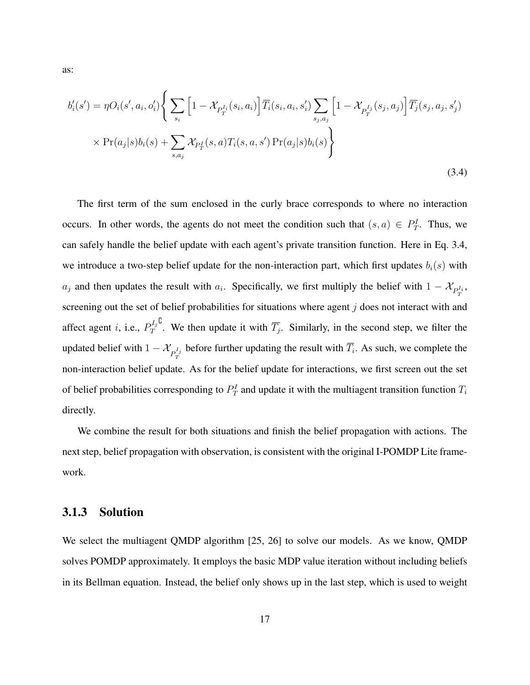<span id="page-25-0"></span>
$$
b'_{i}(s') = \eta O_{i}(s', a_{i}, o'_{i}) \left\{ \sum_{s_{i}} \left[ 1 - \mathcal{X}_{P_{T}^{I_{i}}}(s_{i}, a_{i}) \right] \overline{T}_{i}(s_{i}, a_{i}, s'_{i}) \sum_{s_{j}, a_{j}} \left[ 1 - \mathcal{X}_{P_{T}^{I_{j}}}(s_{j}, a_{j}) \right] \overline{T}_{j}(s_{j}, a_{j}, s'_{j}) \right\}
$$

$$
\times \Pr(a_{j}|s)b_{i}(s) + \sum_{s, a_{j}} \mathcal{X}_{P_{T}^{I}}(s, a) T_{i}(s, a, s') \Pr(a_{j}|s)b_{i}(s) \right\}
$$
(3.4)

The first term of the sum enclosed in the curly brace corresponds to where no interaction occurs. In other words, the agents do not meet the condition such that  $(s, a) \in P_T^I$ . Thus, we can safely handle the belief update with each agent's private transition function. Here in Eq. [3.4,](#page-25-0) we introduce a two-step belief update for the non-interaction part, which first updates  $b_i(s)$  with  $a_j$  and then updates the result with  $a_i$ . Specifically, we first multiply the belief with  $1 - \mathcal{X}_{P_T^{I_i}}$ , screening out the set of belief probabilities for situations where agent  $j$  does not interact with and affect agent *i*, i.e.,  $P_T^{I_j}$ T <sup>C</sup>. We then update it with  $\overline{T_j}$ . Similarly, in the second step, we filter the updated belief with  $1 - \mathcal{X}_{P_T^{I_j}}$  before further updating the result with  $\overline{T_i}$ . As such, we complete the non-interaction belief update. As for the belief update for interactions, we first screen out the set of belief probabilities corresponding to  $P_T^I$  and update it with the multiagent transition function  $T_i$ directly.

We combine the result for both situations and finish the belief propagation with actions. The next step, belief propagation with observation, is consistent with the original I-POMDP Lite framework.

#### 3.1.3 Solution

We select the multiagent QMDP algorithm [\[25,](#page-61-0) [26\]](#page-61-1) to solve our models. As we know, QMDP solves POMDP approximately. It employs the basic MDP value iteration without including beliefs in its Bellman equation. Instead, the belief only shows up in the last step, which is used to weight

as: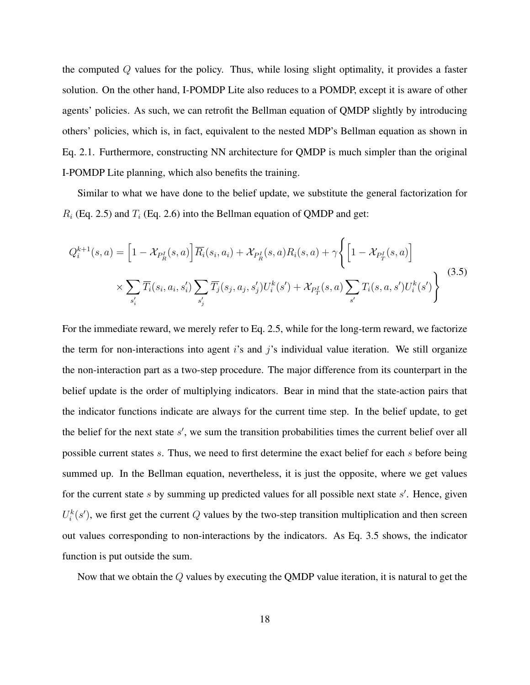the computed Q values for the policy. Thus, while losing slight optimality, it provides a faster solution. On the other hand, I-POMDP Lite also reduces to a POMDP, except it is aware of other agents' policies. As such, we can retrofit the Bellman equation of QMDP slightly by introducing others' policies, which is, in fact, equivalent to the nested MDP's Bellman equation as shown in Eq. [2.1.](#page-18-1) Furthermore, constructing NN architecture for QMDP is much simpler than the original I-POMDP Lite planning, which also benefits the training.

Similar to what we have done to the belief update, we substitute the general factorization for  $R_i$  (Eq. [2.5\)](#page-20-2) and  $T_i$  (Eq. [2.6\)](#page-20-1) into the Bellman equation of QMDP and get:

<span id="page-26-0"></span>
$$
Q_i^{k+1}(s, a) = \left[1 - \mathcal{X}_{P_R^I}(s, a)\right] \overline{R}_i(s_i, a_i) + \mathcal{X}_{P_R^I}(s, a) R_i(s, a) + \gamma \left\{ \left[1 - \mathcal{X}_{P_T^I}(s, a)\right] \times \sum_{s'_i} \overline{T}_i(s_i, a_i, s'_i) \sum_{s'_j} \overline{T}_j(s_j, a_j, s'_j) U_i^k(s') + \mathcal{X}_{P_T^I}(s, a) \sum_{s'} T_i(s, a, s') U_i^k(s') \right\}
$$
(3.5)

For the immediate reward, we merely refer to Eq. [2.5,](#page-20-2) while for the long-term reward, we factorize the term for non-interactions into agent is and j's individual value iteration. We still organize the non-interaction part as a two-step procedure. The major difference from its counterpart in the belief update is the order of multiplying indicators. Bear in mind that the state-action pairs that the indicator functions indicate are always for the current time step. In the belief update, to get the belief for the next state  $s'$ , we sum the transition probabilities times the current belief over all possible current states s. Thus, we need to first determine the exact belief for each s before being summed up. In the Bellman equation, nevertheless, it is just the opposite, where we get values for the current state s by summing up predicted values for all possible next state s'. Hence, given  $U_i^k(s')$ , we first get the current Q values by the two-step transition multiplication and then screen out values corresponding to non-interactions by the indicators. As Eq. [3.5](#page-26-0) shows, the indicator function is put outside the sum.

Now that we obtain the Q values by executing the QMDP value iteration, it is natural to get the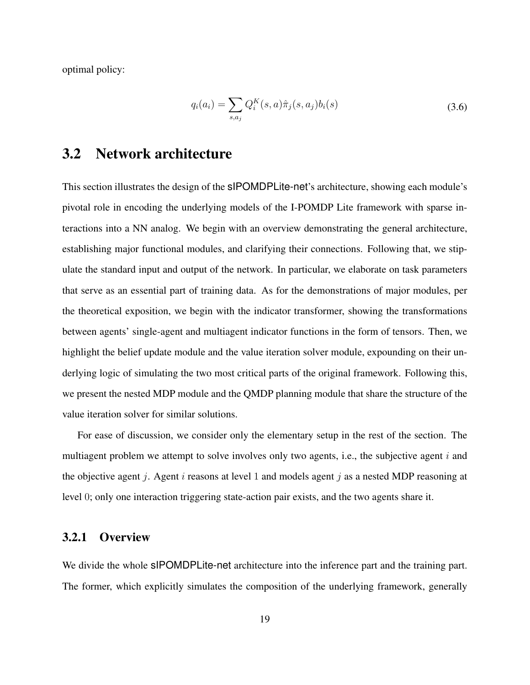optimal policy:

$$
q_i(a_i) = \sum_{s,a_j} Q_i^K(s,a)\hat{\pi}_j(s,a_j)b_i(s)
$$
\n(3.6)

## <span id="page-27-0"></span>3.2 Network architecture

This section illustrates the design of the sIPOMDPLite-net's architecture, showing each module's pivotal role in encoding the underlying models of the I-POMDP Lite framework with sparse interactions into a NN analog. We begin with an overview demonstrating the general architecture, establishing major functional modules, and clarifying their connections. Following that, we stipulate the standard input and output of the network. In particular, we elaborate on task parameters that serve as an essential part of training data. As for the demonstrations of major modules, per the theoretical exposition, we begin with the indicator transformer, showing the transformations between agents' single-agent and multiagent indicator functions in the form of tensors. Then, we highlight the belief update module and the value iteration solver module, expounding on their underlying logic of simulating the two most critical parts of the original framework. Following this, we present the nested MDP module and the QMDP planning module that share the structure of the value iteration solver for similar solutions.

For ease of discussion, we consider only the elementary setup in the rest of the section. The multiagent problem we attempt to solve involves only two agents, i.e., the subjective agent  $i$  and the objective agent j. Agent i reasons at level 1 and models agent j as a nested MDP reasoning at level 0; only one interaction triggering state-action pair exists, and the two agents share it.

#### 3.2.1 Overview

We divide the whole sIPOMDPLite-net architecture into the inference part and the training part. The former, which explicitly simulates the composition of the underlying framework, generally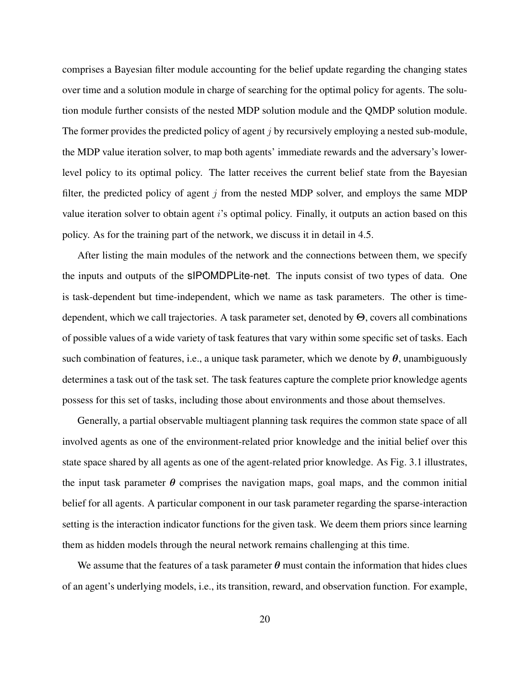comprises a Bayesian filter module accounting for the belief update regarding the changing states over time and a solution module in charge of searching for the optimal policy for agents. The solution module further consists of the nested MDP solution module and the QMDP solution module. The former provides the predicted policy of agent  $\dot{\gamma}$  by recursively employing a nested sub-module, the MDP value iteration solver, to map both agents' immediate rewards and the adversary's lowerlevel policy to its optimal policy. The latter receives the current belief state from the Bayesian filter, the predicted policy of agent  $j$  from the nested MDP solver, and employs the same MDP value iteration solver to obtain agent i's optimal policy. Finally, it outputs an action based on this policy. As for the training part of the network, we discuss it in detail in [4.5.](#page-53-0)

After listing the main modules of the network and the connections between them, we specify the inputs and outputs of the sIPOMDPLite-net. The inputs consist of two types of data. One is task-dependent but time-independent, which we name as task parameters. The other is timedependent, which we call trajectories. A task parameter set, denoted by Θ, covers all combinations of possible values of a wide variety of task features that vary within some specific set of tasks. Each such combination of features, i.e., a unique task parameter, which we denote by  $\theta$ , unambiguously determines a task out of the task set. The task features capture the complete prior knowledge agents possess for this set of tasks, including those about environments and those about themselves.

Generally, a partial observable multiagent planning task requires the common state space of all involved agents as one of the environment-related prior knowledge and the initial belief over this state space shared by all agents as one of the agent-related prior knowledge. As Fig. [3.1](#page-29-0) illustrates, the input task parameter  $\theta$  comprises the navigation maps, goal maps, and the common initial belief for all agents. A particular component in our task parameter regarding the sparse-interaction setting is the interaction indicator functions for the given task. We deem them priors since learning them as hidden models through the neural network remains challenging at this time.

We assume that the features of a task parameter  $\theta$  must contain the information that hides clues of an agent's underlying models, i.e., its transition, reward, and observation function. For example,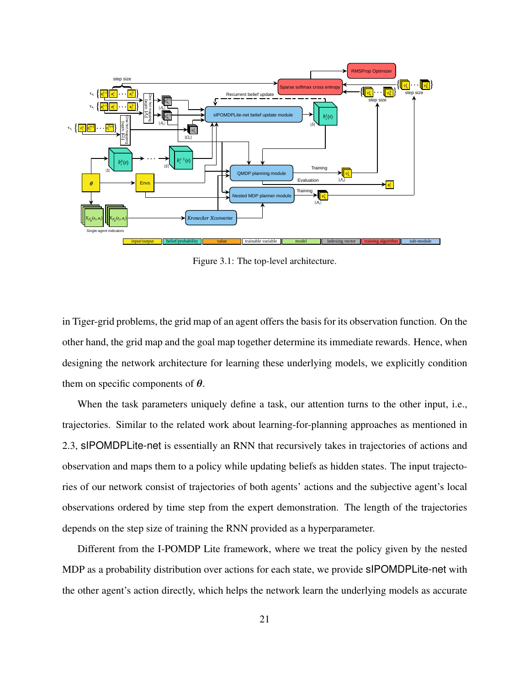<span id="page-29-0"></span>

Figure 3.1: The top-level architecture.

in Tiger-grid problems, the grid map of an agent offers the basis for its observation function. On the other hand, the grid map and the goal map together determine its immediate rewards. Hence, when designing the network architecture for learning these underlying models, we explicitly condition them on specific components of  $\theta$ .

When the task parameters uniquely define a task, our attention turns to the other input, i.e., trajectories. Similar to the related work about learning-for-planning approaches as mentioned in [2.3,](#page-20-0) sIPOMDPLite-net is essentially an RNN that recursively takes in trajectories of actions and observation and maps them to a policy while updating beliefs as hidden states. The input trajectories of our network consist of trajectories of both agents' actions and the subjective agent's local observations ordered by time step from the expert demonstration. The length of the trajectories depends on the step size of training the RNN provided as a hyperparameter.

Different from the I-POMDP Lite framework, where we treat the policy given by the nested MDP as a probability distribution over actions for each state, we provide sIPOMDPLite-net with the other agent's action directly, which helps the network learn the underlying models as accurate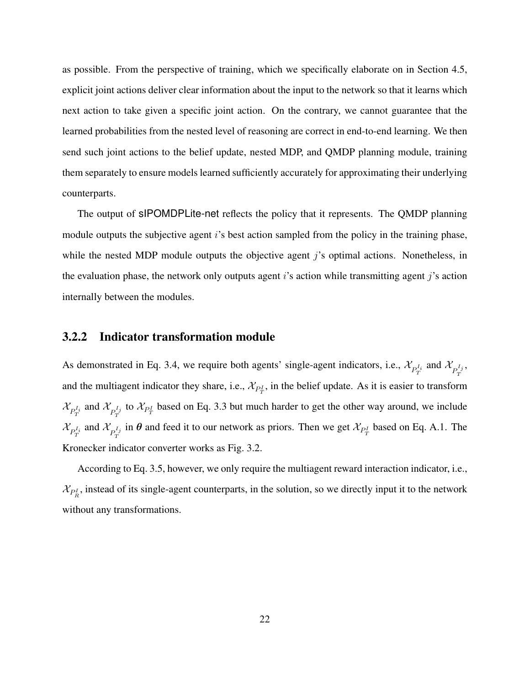as possible. From the perspective of training, which we specifically elaborate on in Section [4.5,](#page-53-0) explicit joint actions deliver clear information about the input to the network so that it learns which next action to take given a specific joint action. On the contrary, we cannot guarantee that the learned probabilities from the nested level of reasoning are correct in end-to-end learning. We then send such joint actions to the belief update, nested MDP, and QMDP planning module, training them separately to ensure models learned sufficiently accurately for approximating their underlying counterparts.

The output of sIPOMDPLite-net reflects the policy that it represents. The QMDP planning module outputs the subjective agent i's best action sampled from the policy in the training phase, while the nested MDP module outputs the objective agent j's optimal actions. Nonetheless, in the evaluation phase, the network only outputs agent i's action while transmitting agent j's action internally between the modules.

#### 3.2.2 Indicator transformation module

As demonstrated in Eq. [3.4,](#page-25-0) we require both agents' single-agent indicators, i.e.,  $\mathcal{X}_{P_T^{I_i}}$  and  $\mathcal{X}_{P_T^{I_j}}$ , and the multiagent indicator they share, i.e.,  $\mathcal{X}_{P_T^I}$ , in the belief update. As it is easier to transform  $\mathcal{X}_{P_T^{I_i}}$  and  $\mathcal{X}_{P_T^{I_j}}$  to  $\mathcal{X}_{P_T^{I}}$  based on Eq. [3.3](#page-24-2) but much harder to get the other way around, we include  $\mathcal{X}_{P_T^{I_i}}$  and  $\mathcal{X}_{P_T^{I_j}}$  in  $\theta$  and feed it to our network as priors. Then we get  $\mathcal{X}_{P_T^I}$  based on Eq. [A.1.](#page-63-1) The Kronecker indicator converter works as Fig. [3.2.](#page-31-0)

According to Eq. [3.5,](#page-26-0) however, we only require the multiagent reward interaction indicator, i.e.,  $\mathcal{X}_{P_R^I}$ , instead of its single-agent counterparts, in the solution, so we directly input it to the network without any transformations.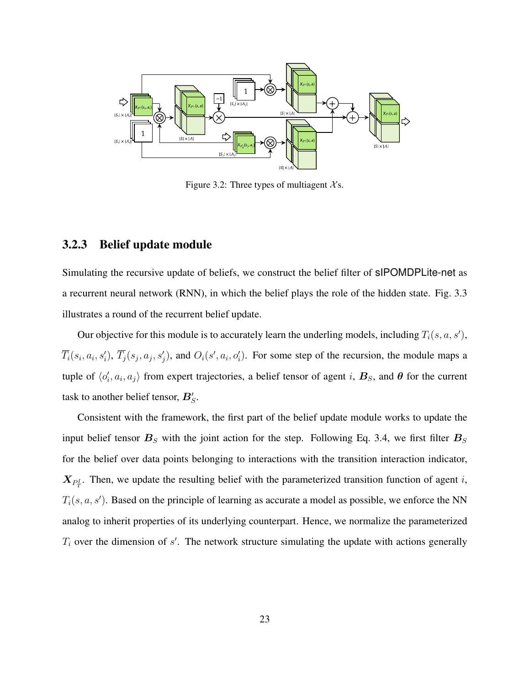<span id="page-31-0"></span>

Figure 3.2: Three types of multiagent  $X_s$ .

#### <span id="page-31-1"></span>3.2.3 Belief update module

Simulating the recursive update of beliefs, we construct the belief filter of sIPOMDPLite-net as a recurrent neural network (RNN), in which the belief plays the role of the hidden state. Fig. [3.3](#page-33-0) illustrates a round of the recurrent belief update.

Our objective for this module is to accurately learn the underling models, including  $T_i(s, a, s')$ ,  $\overline{T}_i(s_i, a_i, s'_i), \overline{T}_j(s_j, a_j, s'_j)$ , and  $O_i(s', a_i, o'_i)$ . For some step of the recursion, the module maps a tuple of  $\langle o_i', a_i, a_j \rangle$  from expert trajectories, a belief tensor of agent i,  $B_s$ , and  $\theta$  for the current task to another belief tensor,  $B_S^{\prime}$ .

Consistent with the framework, the first part of the belief update module works to update the input belief tensor  $B<sub>S</sub>$  with the joint action for the step. Following Eq. [3.4,](#page-25-0) we first filter  $B<sub>S</sub>$ for the belief over data points belonging to interactions with the transition interaction indicator,  $X_{P_T^I}$ . Then, we update the resulting belief with the parameterized transition function of agent *i*,  $T_i(s, a, s')$ . Based on the principle of learning as accurate a model as possible, we enforce the NN analog to inherit properties of its underlying counterpart. Hence, we normalize the parameterized  $T_i$  over the dimension of  $s'$ . The network structure simulating the update with actions generally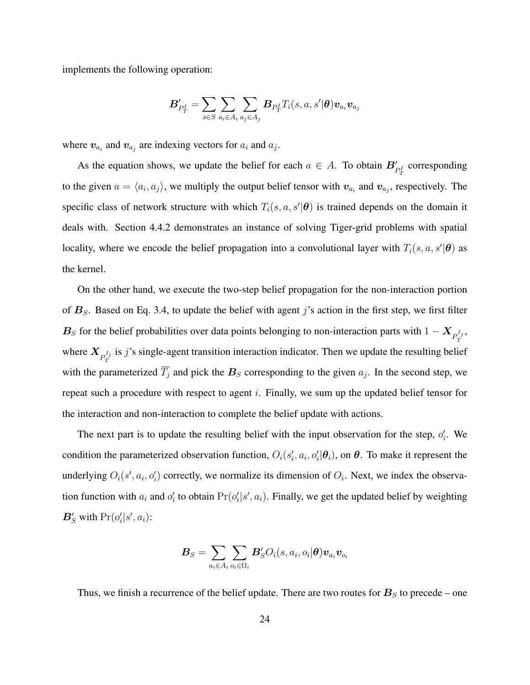implements the following operation:

$$
\boldsymbol{B}'_{P_T^I} = \sum_{s \in S} \sum_{a_i \in A_i} \sum_{a_j \in A_j} \boldsymbol{B}_{P_T^I} T_i(s,a,s'|\boldsymbol{\theta}) \boldsymbol{v}_{a_i} \boldsymbol{v}_{a_j}
$$

where  $v_{a_i}$  and  $v_{a_j}$  are indexing vectors for  $a_i$  and  $a_j$ .

As the equation shows, we update the belief for each  $a \in A$ . To obtain  $B'_{P_T}$  corresponding to the given  $a = \langle a_i, a_j \rangle$ , we multiply the output belief tensor with  $v_{a_i}$  and  $v_{a_j}$ , respectively. The specific class of network structure with which  $T_i(s, a, s' | \theta)$  is trained depends on the domain it deals with. Section [4.4.2](#page-49-0) demonstrates an instance of solving Tiger-grid problems with spatial locality, where we encode the belief propagation into a convolutional layer with  $T_i(s, a, s' | \theta)$  as the kernel.

On the other hand, we execute the two-step belief propagation for the non-interaction portion of  $B<sub>S</sub>$ . Based on Eq. [3.4,](#page-25-0) to update the belief with agent j's action in the first step, we first filter  $B_S$  for the belief probabilities over data points belonging to non-interaction parts with  $1 - X_{P_T^{I_j}}$ , where  $X_{P_T^{I_j}}$  is j's single-agent transition interaction indicator. Then we update the resulting belief with the parameterized  $T_j$  and pick the  $B_s$  corresponding to the given  $a_j$ . In the second step, we repeat such a procedure with respect to agent  $i$ . Finally, we sum up the updated belief tensor for the interaction and non-interaction to complete the belief update with actions.

The next part is to update the resulting belief with the input observation for the step,  $o_i'$ . We condition the parameterized observation function,  $O_i(s'_i, a_i, o'_i | \theta_i)$ , on  $\theta$ . To make it represent the underlying  $O_i(s', a_i, o'_i)$  correctly, we normalize its dimension of  $O_i$ . Next, we index the observation function with  $a_i$  and  $o'_i$  to obtain  $Pr(o'_i|s', a_i)$ . Finally, we get the updated belief by weighting  $\mathbf{B}'_S$  with  $\Pr(o'_i|s', a_i)$ :

$$
\boldsymbol{B}_{S}=\sum_{a_{i}\in A_{i}}\sum_{o_{i}\in\Omega_{i}}\boldsymbol{B}_{S}^{\prime}O_{i}(s,a_{i},o_{i}|\boldsymbol{\theta})\boldsymbol{v}_{a_{i}}\boldsymbol{v}_{o_{i}}
$$

Thus, we finish a recurrence of the belief update. There are two routes for  $\boldsymbol{B}_{S}$  to precede – one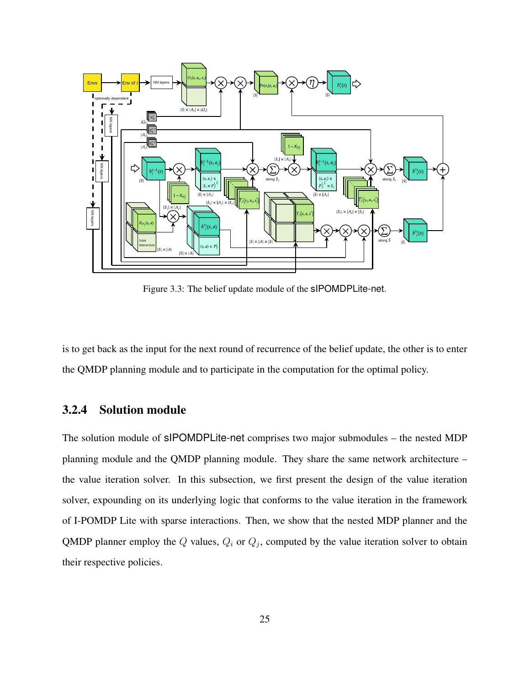<span id="page-33-0"></span>

Figure 3.3: The belief update module of the sIPOMDPLite-net.

is to get back as the input for the next round of recurrence of the belief update, the other is to enter the QMDP planning module and to participate in the computation for the optimal policy.

#### <span id="page-33-1"></span>3.2.4 Solution module

The solution module of sIPOMDPLite-net comprises two major submodules – the nested MDP planning module and the QMDP planning module. They share the same network architecture – the value iteration solver. In this subsection, we first present the design of the value iteration solver, expounding on its underlying logic that conforms to the value iteration in the framework of I-POMDP Lite with sparse interactions. Then, we show that the nested MDP planner and the QMDP planner employ the Q values,  $Q_i$  or  $Q_j$ , computed by the value iteration solver to obtain their respective policies.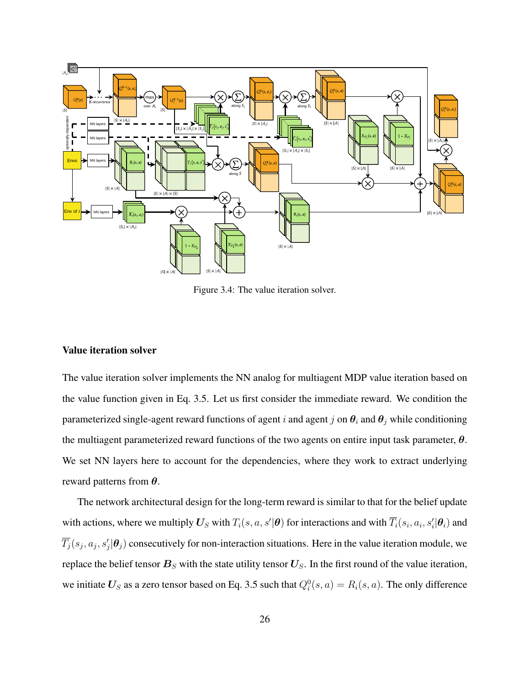<span id="page-34-0"></span>

Figure 3.4: The value iteration solver.

#### Value iteration solver

The value iteration solver implements the NN analog for multiagent MDP value iteration based on the value function given in Eq. [3.5.](#page-26-0) Let us first consider the immediate reward. We condition the parameterized single-agent reward functions of agent i and agent j on  $\theta_i$  and  $\theta_j$  while conditioning the multiagent parameterized reward functions of the two agents on entire input task parameter,  $\theta$ . We set NN layers here to account for the dependencies, where they work to extract underlying reward patterns from  $\theta$ .

The network architectural design for the long-term reward is similar to that for the belief update with actions, where we multiply  $\bm U_S$  with  $T_i(s,a,s'|\bm\theta)$  for interactions and with  $\overline{T_i}(s_i,a_i,s'_i|\bm\theta_i)$  and  $\overline{T_j}(s_j,a_j,s'_j|\bm{\theta}_j)$  consecutively for non-interaction situations. Here in the value iteration module, we replace the belief tensor  $B<sub>S</sub>$  with the state utility tensor  $U<sub>S</sub>$ . In the first round of the value iteration, we initiate  $U_S$  as a zero tensor based on Eq. [3.5](#page-26-0) such that  $Q_i^0(s, a) = R_i(s, a)$ . The only difference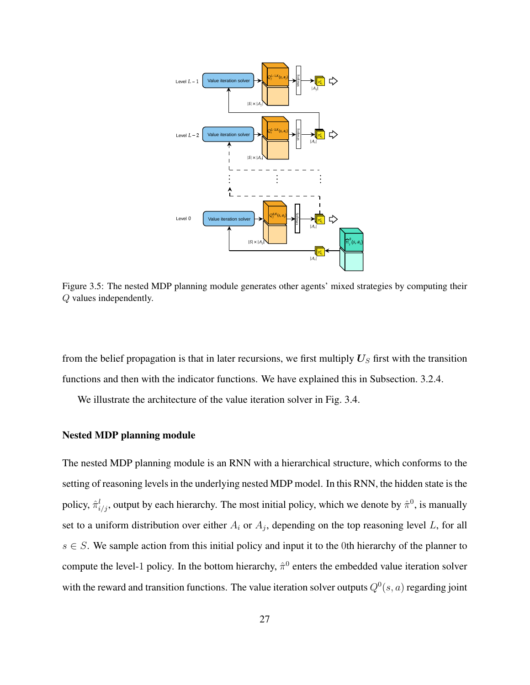<span id="page-35-0"></span>

Figure 3.5: The nested MDP planning module generates other agents' mixed strategies by computing their Q values independently.

from the belief propagation is that in later recursions, we first multiply  $U_S$  first with the transition functions and then with the indicator functions. We have explained this in Subsection. [3.2.4.](#page-33-1)

We illustrate the architecture of the value iteration solver in Fig. [3.4.](#page-34-0)

#### Nested MDP planning module

The nested MDP planning module is an RNN with a hierarchical structure, which conforms to the setting of reasoning levels in the underlying nested MDP model. In this RNN, the hidden state is the policy,  $\hat{\pi}_{i/j}^l$ , output by each hierarchy. The most initial policy, which we denote by  $\hat{\pi}^0$ , is manually set to a uniform distribution over either  $A_i$  or  $A_j$ , depending on the top reasoning level L, for all  $s \in S$ . We sample action from this initial policy and input it to the 0th hierarchy of the planner to compute the level-1 policy. In the bottom hierarchy,  $\hat{\pi}^0$  enters the embedded value iteration solver with the reward and transition functions. The value iteration solver outputs  $Q^0(s, a)$  regarding joint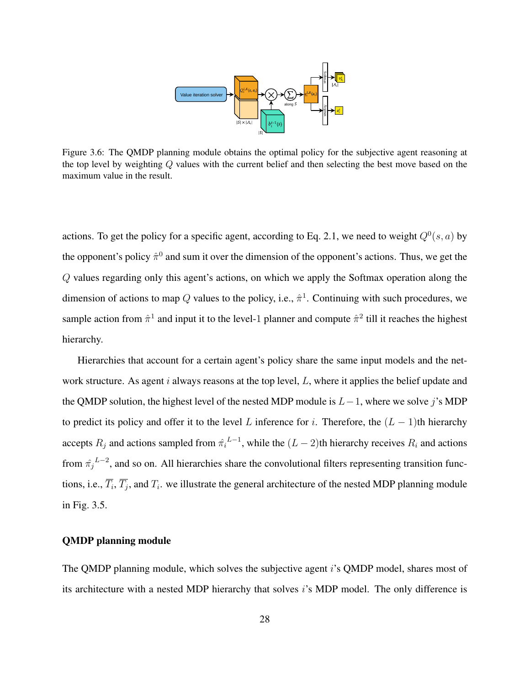

<span id="page-36-0"></span>Figure 3.6: The QMDP planning module obtains the optimal policy for the subjective agent reasoning at the top level by weighting Q values with the current belief and then selecting the best move based on the maximum value in the result.

actions. To get the policy for a specific agent, according to Eq. [2.1,](#page-18-1) we need to weight  $Q^0(s, a)$  by the opponent's policy  $\hat{\pi}^0$  and sum it over the dimension of the opponent's actions. Thus, we get the Q values regarding only this agent's actions, on which we apply the Softmax operation along the dimension of actions to map Q values to the policy, i.e.,  $\hat{\pi}^1$ . Continuing with such procedures, we sample action from  $\hat{\pi}^1$  and input it to the level-1 planner and compute  $\hat{\pi}^2$  till it reaches the highest hierarchy.

Hierarchies that account for a certain agent's policy share the same input models and the network structure. As agent i always reasons at the top level,  $L$ , where it applies the belief update and the QMDP solution, the highest level of the nested MDP module is  $L-1$ , where we solve j's MDP to predict its policy and offer it to the level L inference for i. Therefore, the  $(L - 1)$ th hierarchy accepts  $R_j$  and actions sampled from  $\hat{\pi_i}^{L-1}$ , while the  $(L-2)$ th hierarchy receives  $R_i$  and actions from  $\hat{\pi_j}^{L-2}$ , and so on. All hierarchies share the convolutional filters representing transition functions, i.e.,  $T_i$ ,  $T_j$ , and  $T_i$ . we illustrate the general architecture of the nested MDP planning module in Fig. [3.5.](#page-35-0)

#### QMDP planning module

The QMDP planning module, which solves the subjective agent i's QMDP model, shares most of its architecture with a nested MDP hierarchy that solves  $i$ 's MDP model. The only difference is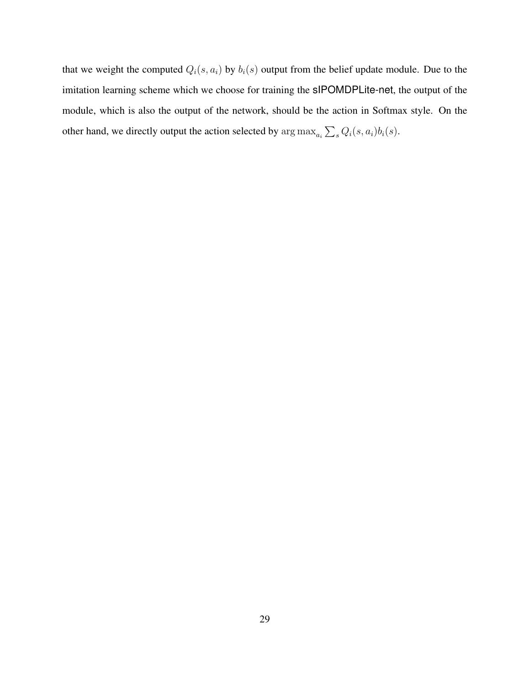that we weight the computed  $Q_i(s, a_i)$  by  $b_i(s)$  output from the belief update module. Due to the imitation learning scheme which we choose for training the sIPOMDPLite-net, the output of the module, which is also the output of the network, should be the action in Softmax style. On the other hand, we directly output the action selected by  $\arg \max_{a_i} \sum_s Q_i(s, a_i) b_i(s)$ .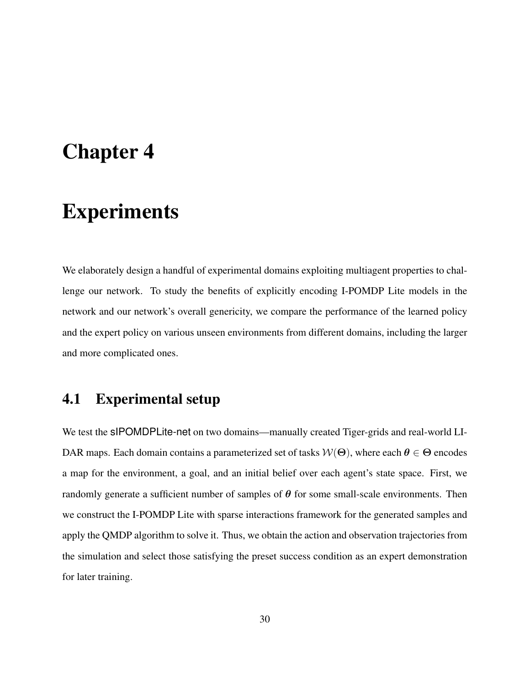# <span id="page-38-0"></span>Chapter 4

# Experiments

We elaborately design a handful of experimental domains exploiting multiagent properties to challenge our network. To study the benefits of explicitly encoding I-POMDP Lite models in the network and our network's overall genericity, we compare the performance of the learned policy and the expert policy on various unseen environments from different domains, including the larger and more complicated ones.

## <span id="page-38-1"></span>4.1 Experimental setup

We test the sIPOMDPLite-net on two domains—manually created Tiger-grids and real-world LI-DAR maps. Each domain contains a parameterized set of tasks  $W(\Theta)$ , where each  $\theta \in \Theta$  encodes a map for the environment, a goal, and an initial belief over each agent's state space. First, we randomly generate a sufficient number of samples of  $\theta$  for some small-scale environments. Then we construct the I-POMDP Lite with sparse interactions framework for the generated samples and apply the QMDP algorithm to solve it. Thus, we obtain the action and observation trajectories from the simulation and select those satisfying the preset success condition as an expert demonstration for later training.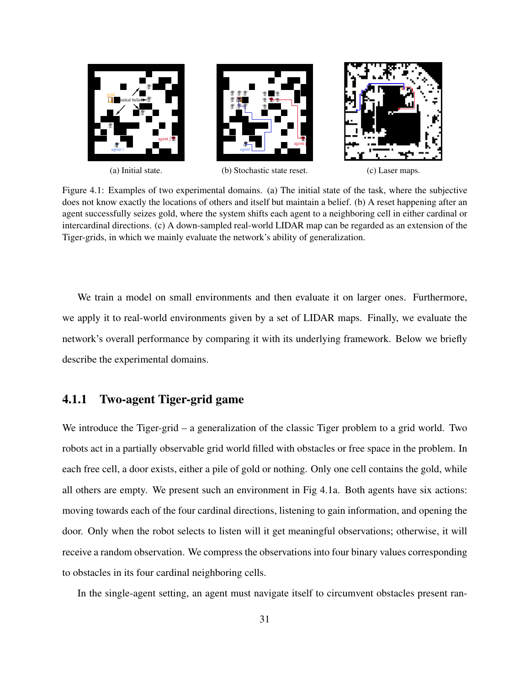<span id="page-39-0"></span>

Figure 4.1: Examples of two experimental domains. [\(a\)](#page-39-0) The initial state of the task, where the subjective does not know exactly the locations of others and itself but maintain a belief. [\(b\)](#page-39-0) A reset happening after an agent successfully seizes gold, where the system shifts each agent to a neighboring cell in either cardinal or intercardinal directions. [\(c\)](#page-39-0) A down-sampled real-world LIDAR map can be regarded as an extension of the Tiger-grids, in which we mainly evaluate the network's ability of generalization.

We train a model on small environments and then evaluate it on larger ones. Furthermore, we apply it to real-world environments given by a set of LIDAR maps. Finally, we evaluate the network's overall performance by comparing it with its underlying framework. Below we briefly describe the experimental domains.

### 4.1.1 Two-agent Tiger-grid game

We introduce the Tiger-grid – a generalization of the classic Tiger problem to a grid world. Two robots act in a partially observable grid world filled with obstacles or free space in the problem. In each free cell, a door exists, either a pile of gold or nothing. Only one cell contains the gold, while all others are empty. We present such an environment in Fig [4.1a.](#page-39-0) Both agents have six actions: moving towards each of the four cardinal directions, listening to gain information, and opening the door. Only when the robot selects to listen will it get meaningful observations; otherwise, it will receive a random observation. We compress the observations into four binary values corresponding to obstacles in its four cardinal neighboring cells.

In the single-agent setting, an agent must navigate itself to circumvent obstacles present ran-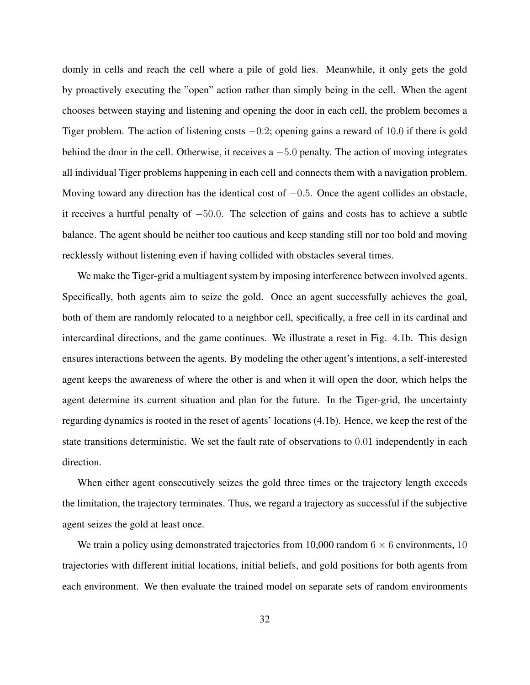domly in cells and reach the cell where a pile of gold lies. Meanwhile, it only gets the gold by proactively executing the "open" action rather than simply being in the cell. When the agent chooses between staying and listening and opening the door in each cell, the problem becomes a Tiger problem. The action of listening costs  $-0.2$ ; opening gains a reward of 10.0 if there is gold behind the door in the cell. Otherwise, it receives a −5.0 penalty. The action of moving integrates all individual Tiger problems happening in each cell and connects them with a navigation problem. Moving toward any direction has the identical cost of  $-0.5$ . Once the agent collides an obstacle, it receives a hurtful penalty of −50.0. The selection of gains and costs has to achieve a subtle balance. The agent should be neither too cautious and keep standing still nor too bold and moving recklessly without listening even if having collided with obstacles several times.

We make the Tiger-grid a multiagent system by imposing interference between involved agents. Specifically, both agents aim to seize the gold. Once an agent successfully achieves the goal, both of them are randomly relocated to a neighbor cell, specifically, a free cell in its cardinal and intercardinal directions, and the game continues. We illustrate a reset in Fig. [4.1b.](#page-39-0) This design ensures interactions between the agents. By modeling the other agent's intentions, a self-interested agent keeps the awareness of where the other is and when it will open the door, which helps the agent determine its current situation and plan for the future. In the Tiger-grid, the uncertainty regarding dynamics is rooted in the reset of agents' locations [\(4.1b\)](#page-39-0). Hence, we keep the rest of the state transitions deterministic. We set the fault rate of observations to 0.01 independently in each direction.

When either agent consecutively seizes the gold three times or the trajectory length exceeds the limitation, the trajectory terminates. Thus, we regard a trajectory as successful if the subjective agent seizes the gold at least once.

We train a policy using demonstrated trajectories from 10,000 random  $6 \times 6$  environments, 10 trajectories with different initial locations, initial beliefs, and gold positions for both agents from each environment. We then evaluate the trained model on separate sets of random environments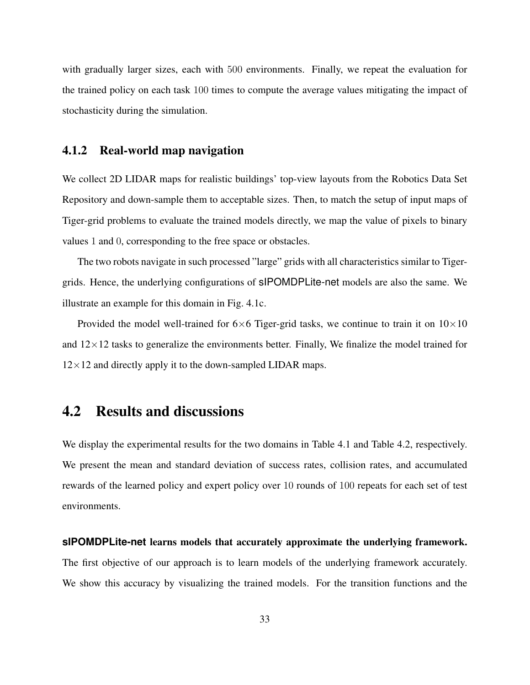with gradually larger sizes, each with 500 environments. Finally, we repeat the evaluation for the trained policy on each task 100 times to compute the average values mitigating the impact of stochasticity during the simulation.

#### 4.1.2 Real-world map navigation

We collect 2D LIDAR maps for realistic buildings' top-view layouts from the Robotics Data Set Repository and down-sample them to acceptable sizes. Then, to match the setup of input maps of Tiger-grid problems to evaluate the trained models directly, we map the value of pixels to binary values 1 and 0, corresponding to the free space or obstacles.

The two robots navigate in such processed "large" grids with all characteristics similar to Tigergrids. Hence, the underlying configurations of sIPOMDPLite-net models are also the same. We illustrate an example for this domain in Fig. [4.1c.](#page-39-0)

Provided the model well-trained for  $6\times 6$  Tiger-grid tasks, we continue to train it on  $10\times 10$ and  $12\times12$  tasks to generalize the environments better. Finally, We finalize the model trained for  $12\times12$  and directly apply it to the down-sampled LIDAR maps.

## <span id="page-41-0"></span>4.2 Results and discussions

We display the experimental results for the two domains in Table [4.1](#page-43-0) and Table [4.2,](#page-44-0) respectively. We present the mean and standard deviation of success rates, collision rates, and accumulated rewards of the learned policy and expert policy over 10 rounds of 100 repeats for each set of test environments.

# **sIPOMDPLite-net** learns models that accurately approximate the underlying framework. The first objective of our approach is to learn models of the underlying framework accurately. We show this accuracy by visualizing the trained models. For the transition functions and the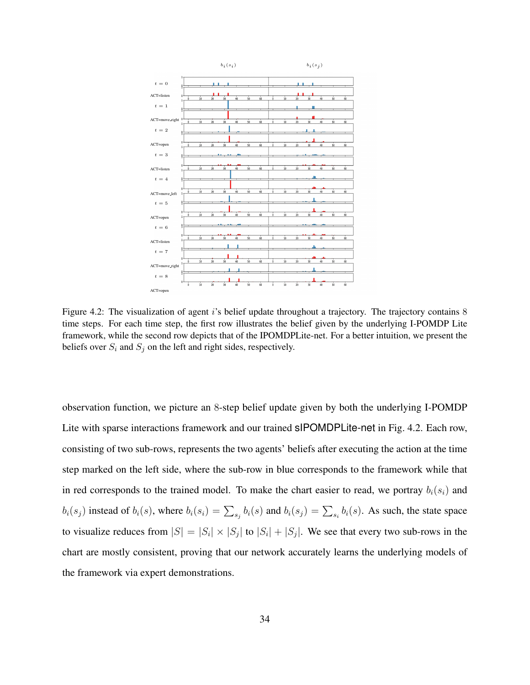<span id="page-42-0"></span>

Figure 4.2: The visualization of agent i's belief update throughout a trajectory. The trajectory contains 8 time steps. For each time step, the first row illustrates the belief given by the underlying I-POMDP Lite framework, while the second row depicts that of the IPOMDPLite-net. For a better intuition, we present the beliefs over  $S_i$  and  $S_j$  on the left and right sides, respectively.

observation function, we picture an 8-step belief update given by both the underlying I-POMDP Lite with sparse interactions framework and our trained sIPOMDPLite-net in Fig. [4.2.](#page-42-0) Each row, consisting of two sub-rows, represents the two agents' beliefs after executing the action at the time step marked on the left side, where the sub-row in blue corresponds to the framework while that in red corresponds to the trained model. To make the chart easier to read, we portray  $b_i(s_i)$  and  $b_i(s_j)$  instead of  $b_i(s)$ , where  $b_i(s_i) = \sum_{s_j} b_i(s)$  and  $b_i(s_j) = \sum_{s_i} b_i(s)$ . As such, the state space to visualize reduces from  $|S| = |S_i| \times |S_j|$  to  $|S_i| + |S_j|$ . We see that every two sub-rows in the chart are mostly consistent, proving that our network accurately learns the underlying models of the framework via expert demonstrations.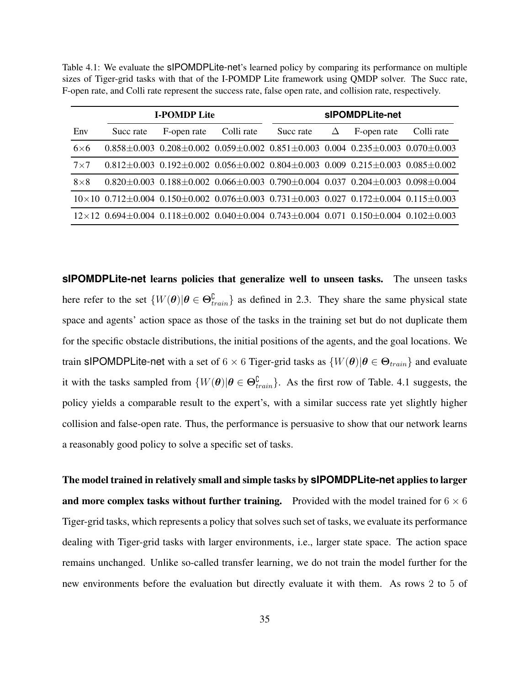<span id="page-43-0"></span>Table 4.1: We evaluate the sIPOMDPLite-net's learned policy by comparing its performance on multiple sizes of Tiger-grid tasks with that of the I-POMDP Lite framework using QMDP solver. The Succ rate, F-open rate, and Colli rate represent the success rate, false open rate, and collision rate, respectively.

| <b>I-POMDP Lite</b> |           |                                                                                                                                | sIPOMDPLite-net |           |   |             |            |
|---------------------|-----------|--------------------------------------------------------------------------------------------------------------------------------|-----------------|-----------|---|-------------|------------|
| Env                 | Succ rate | F-open rate                                                                                                                    | Colli rate      | Succ rate | Δ | F-open rate | Colli rate |
| $6\times 6$         |           | $0.858\pm0.003$ $0.208\pm0.002$ $0.059\pm0.002$ $0.851\pm0.003$ $0.004$ $0.235\pm0.003$ $0.070\pm0.003$                        |                 |           |   |             |            |
| $7\times7$          |           | $0.812 \pm 0.003$ $0.192 \pm 0.002$ $0.056 \pm 0.002$ $0.804 \pm 0.003$ $0.009$ $0.215 \pm 0.003$ $0.085 \pm 0.002$            |                 |           |   |             |            |
| $8\times8$          |           | $0.820 \pm 0.003$ $0.188 \pm 0.002$ $0.066 \pm 0.003$ $0.790 \pm 0.004$ $0.037$ $0.204 \pm 0.003$ $0.098 \pm 0.004$            |                 |           |   |             |            |
|                     |           | $10\times10$ 0.712 $\pm$ 0.004 0.150 $\pm$ 0.002 0.076 $\pm$ 0.003 0.731 $\pm$ 0.003 0.027 0.172 $\pm$ 0.004 0.115 $\pm$ 0.003 |                 |           |   |             |            |
|                     |           | $12\times12$ 0.694 $\pm$ 0.004 0.118 $\pm$ 0.002 0.040 $\pm$ 0.004 0.743 $\pm$ 0.004 0.071 0.150 $\pm$ 0.004 0.102 $\pm$ 0.003 |                 |           |   |             |            |

**sIPOMDPLite-net** learns policies that generalize well to unseen tasks. The unseen tasks here refer to the set  $\{W(\theta) | \theta \in \Theta_{train}^{\mathbb{C}}\}$  as defined in [2.3.](#page-20-0) They share the same physical state space and agents' action space as those of the tasks in the training set but do not duplicate them for the specific obstacle distributions, the initial positions of the agents, and the goal locations. We train sIPOMDPLite-net with a set of 6  $\times$  6 Tiger-grid tasks as  $\{W(\theta) | \theta \in \Theta_{train}\}$  and evaluate it with the tasks sampled from  $\{W(\theta) | \theta \in \Theta_{train}^{\mathbb{C}}\}$ . As the first row of Table. [4.1](#page-43-0) suggests, the policy yields a comparable result to the expert's, with a similar success rate yet slightly higher collision and false-open rate. Thus, the performance is persuasive to show that our network learns a reasonably good policy to solve a specific set of tasks.

The model trained in relatively small and simple tasks by **sIPOMDPLite-net** applies to larger and more complex tasks without further training. Provided with the model trained for  $6 \times 6$ Tiger-grid tasks, which represents a policy that solves such set of tasks, we evaluate its performance dealing with Tiger-grid tasks with larger environments, i.e., larger state space. The action space remains unchanged. Unlike so-called transfer learning, we do not train the model further for the new environments before the evaluation but directly evaluate it with them. As rows 2 to 5 of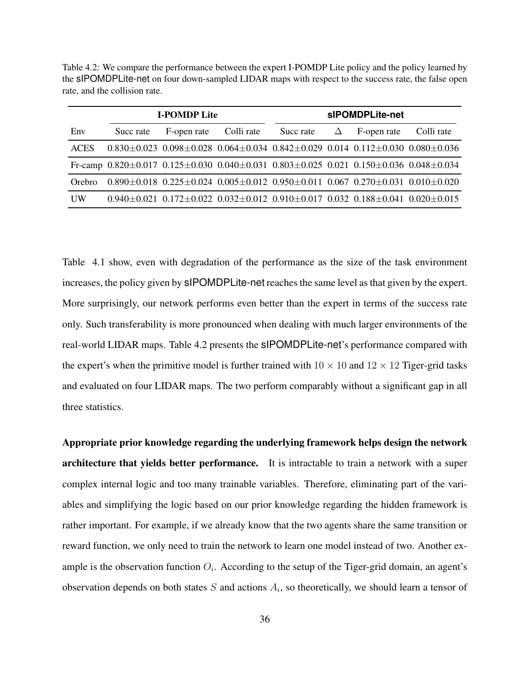<span id="page-44-0"></span>Table 4.2: We compare the performance between the expert I-POMDP Lite policy and the policy learned by the sIPOMDPLite-net on four down-sampled LIDAR maps with respect to the success rate, the false open rate, and the collision rate.

| <b>I-POMDP Lite</b> |             |            | sIPOMDPLite-net |   |             |                                                                                                                                                                                                                                                                                                                                                                                                                                                              |
|---------------------|-------------|------------|-----------------|---|-------------|--------------------------------------------------------------------------------------------------------------------------------------------------------------------------------------------------------------------------------------------------------------------------------------------------------------------------------------------------------------------------------------------------------------------------------------------------------------|
| Succ rate           | F-open rate | Colli rate | Succ rate       | Δ | F-open rate | Colli rate                                                                                                                                                                                                                                                                                                                                                                                                                                                   |
|                     |             |            |                 |   |             |                                                                                                                                                                                                                                                                                                                                                                                                                                                              |
|                     |             |            |                 |   |             |                                                                                                                                                                                                                                                                                                                                                                                                                                                              |
|                     |             |            |                 |   |             |                                                                                                                                                                                                                                                                                                                                                                                                                                                              |
|                     |             |            |                 |   |             |                                                                                                                                                                                                                                                                                                                                                                                                                                                              |
|                     |             |            |                 |   |             | $0.830\pm0.023$ $0.098\pm0.028$ $0.064\pm0.034$ $0.842\pm0.029$ $0.014$ $0.112\pm0.030$ $0.080\pm0.036$<br>Fr-camp $0.820 \pm 0.017$ $0.125 \pm 0.030$ $0.040 \pm 0.031$ $0.803 \pm 0.025$ $0.021$ $0.150 \pm 0.036$ $0.048 \pm 0.034$<br>$0.890\pm0.018$ $0.225\pm0.024$ $0.005\pm0.012$ $0.950\pm0.011$ $0.067$ $0.270\pm0.031$ $0.010\pm0.020$<br>$0.940\pm0.021$ $0.172\pm0.022$ $0.032\pm0.012$ $0.910\pm0.017$ $0.032$ $0.188\pm0.041$ $0.020\pm0.015$ |

Table [4.1](#page-43-0) show, even with degradation of the performance as the size of the task environment increases, the policy given by sIPOMDPLite-net reaches the same level as that given by the expert. More surprisingly, our network performs even better than the expert in terms of the success rate only. Such transferability is more pronounced when dealing with much larger environments of the real-world LIDAR maps. Table [4.2](#page-44-0) presents the sIPOMDPLite-net's performance compared with the expert's when the primitive model is further trained with  $10 \times 10$  and  $12 \times 12$  Tiger-grid tasks and evaluated on four LIDAR maps. The two perform comparably without a significant gap in all three statistics.

Appropriate prior knowledge regarding the underlying framework helps design the network architecture that yields better performance. It is intractable to train a network with a super complex internal logic and too many trainable variables. Therefore, eliminating part of the variables and simplifying the logic based on our prior knowledge regarding the hidden framework is rather important. For example, if we already know that the two agents share the same transition or reward function, we only need to train the network to learn one model instead of two. Another example is the observation function  $O_i$ . According to the setup of the Tiger-grid domain, an agent's observation depends on both states  $S$  and actions  $A_i$ , so theoretically, we should learn a tensor of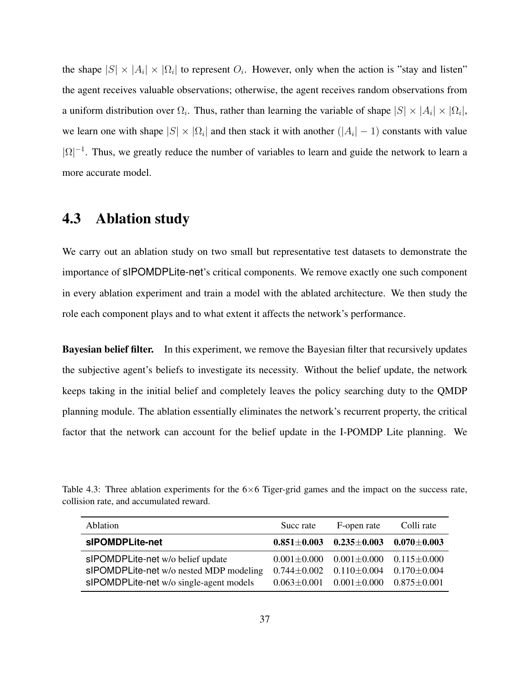the shape  $|S| \times |A_i| \times |\Omega_i|$  to represent  $O_i$ . However, only when the action is "stay and listen" the agent receives valuable observations; otherwise, the agent receives random observations from a uniform distribution over  $\Omega_i$ . Thus, rather than learning the variable of shape  $|S| \times |A_i| \times |\Omega_i|$ , we learn one with shape  $|S| \times |\Omega_i|$  and then stack it with another  $(|A_i| - 1)$  constants with value  $|\Omega|^{-1}$ . Thus, we greatly reduce the number of variables to learn and guide the network to learn a more accurate model.

### <span id="page-45-0"></span>4.3 Ablation study

We carry out an ablation study on two small but representative test datasets to demonstrate the importance of sIPOMDPLite-net's critical components. We remove exactly one such component in every ablation experiment and train a model with the ablated architecture. We then study the role each component plays and to what extent it affects the network's performance.

Bayesian belief filter. In this experiment, we remove the Bayesian filter that recursively updates the subjective agent's beliefs to investigate its necessity. Without the belief update, the network keeps taking in the initial belief and completely leaves the policy searching duty to the QMDP planning module. The ablation essentially eliminates the network's recurrent property, the critical factor that the network can account for the belief update in the I-POMDP Lite planning. We

<span id="page-45-1"></span>Table 4.3: Three ablation experiments for the  $6\times 6$  Tiger-grid games and the impact on the success rate, collision rate, and accumulated reward.

| Ablation                                                                                                                | Succ rate                           | F-open rate                                                                                                    | Colli rate                            |
|-------------------------------------------------------------------------------------------------------------------------|-------------------------------------|----------------------------------------------------------------------------------------------------------------|---------------------------------------|
| sIPOMDPLite-net                                                                                                         |                                     | $0.851 \pm 0.003$ $0.235 \pm 0.003$                                                                            | $\textbf{0.070} {\pm} \textbf{0.003}$ |
| slPOMDPLite-net w/o belief update<br>sIPOMDPLite-net w/o nested MDP modeling<br>slPOMDPLite-net w/o single-agent models | $0.744 \pm 0.002$ $0.110 \pm 0.004$ | $0.001 \pm 0.000$ $0.001 \pm 0.000$ $0.115 \pm 0.000$<br>$0.063 \pm 0.001$ $0.001 \pm 0.000$ $0.875 \pm 0.001$ | $0.170{\pm}0.004$                     |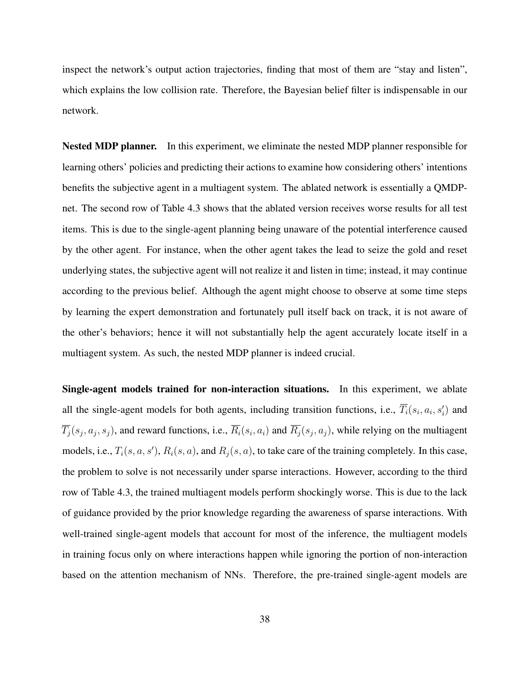inspect the network's output action trajectories, finding that most of them are "stay and listen", which explains the low collision rate. Therefore, the Bayesian belief filter is indispensable in our network.

Nested MDP planner. In this experiment, we eliminate the nested MDP planner responsible for learning others' policies and predicting their actions to examine how considering others' intentions benefits the subjective agent in a multiagent system. The ablated network is essentially a QMDPnet. The second row of Table [4.3](#page-45-1) shows that the ablated version receives worse results for all test items. This is due to the single-agent planning being unaware of the potential interference caused by the other agent. For instance, when the other agent takes the lead to seize the gold and reset underlying states, the subjective agent will not realize it and listen in time; instead, it may continue according to the previous belief. Although the agent might choose to observe at some time steps by learning the expert demonstration and fortunately pull itself back on track, it is not aware of the other's behaviors; hence it will not substantially help the agent accurately locate itself in a multiagent system. As such, the nested MDP planner is indeed crucial.

Single-agent models trained for non-interaction situations. In this experiment, we ablate all the single-agent models for both agents, including transition functions, i.e.,  $\overline{T}_i(s_i, a_i, s'_i)$  and  $T_j(s_j, a_j, s_j)$ , and reward functions, i.e.,  $R_i(s_i, a_i)$  and  $R_j(s_j, a_j)$ , while relying on the multiagent models, i.e.,  $T_i(s, a, s')$ ,  $R_i(s, a)$ , and  $R_j(s, a)$ , to take care of the training completely. In this case, the problem to solve is not necessarily under sparse interactions. However, according to the third row of Table [4.3,](#page-45-1) the trained multiagent models perform shockingly worse. This is due to the lack of guidance provided by the prior knowledge regarding the awareness of sparse interactions. With well-trained single-agent models that account for most of the inference, the multiagent models in training focus only on where interactions happen while ignoring the portion of non-interaction based on the attention mechanism of NNs. Therefore, the pre-trained single-agent models are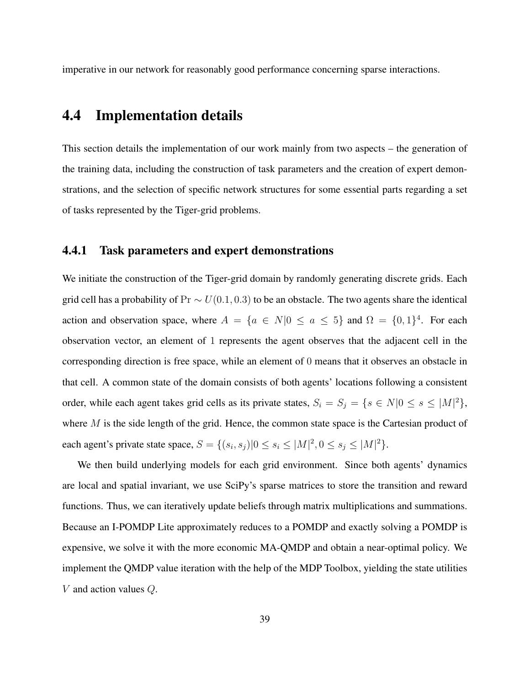imperative in our network for reasonably good performance concerning sparse interactions.

## <span id="page-47-0"></span>4.4 Implementation details

This section details the implementation of our work mainly from two aspects – the generation of the training data, including the construction of task parameters and the creation of expert demonstrations, and the selection of specific network structures for some essential parts regarding a set of tasks represented by the Tiger-grid problems.

#### <span id="page-47-1"></span>4.4.1 Task parameters and expert demonstrations

We initiate the construction of the Tiger-grid domain by randomly generating discrete grids. Each grid cell has a probability of Pr  $\sim U(0.1, 0.3)$  to be an obstacle. The two agents share the identical action and observation space, where  $A = \{a \in N | 0 \le a \le 5\}$  and  $\Omega = \{0, 1\}^4$ . For each observation vector, an element of 1 represents the agent observes that the adjacent cell in the corresponding direction is free space, while an element of 0 means that it observes an obstacle in that cell. A common state of the domain consists of both agents' locations following a consistent order, while each agent takes grid cells as its private states,  $S_i = S_j = \{s \in N | 0 \le s \le |M|^2\},\$ where  $M$  is the side length of the grid. Hence, the common state space is the Cartesian product of each agent's private state space,  $S = \{(s_i, s_j) | 0 \le s_i \le |M|^2, 0 \le s_j \le |M|^2\}.$ 

We then build underlying models for each grid environment. Since both agents' dynamics are local and spatial invariant, we use SciPy's sparse matrices to store the transition and reward functions. Thus, we can iteratively update beliefs through matrix multiplications and summations. Because an I-POMDP Lite approximately reduces to a POMDP and exactly solving a POMDP is expensive, we solve it with the more economic MA-QMDP and obtain a near-optimal policy. We implement the QMDP value iteration with the help of the MDP Toolbox, yielding the state utilities V and action values Q.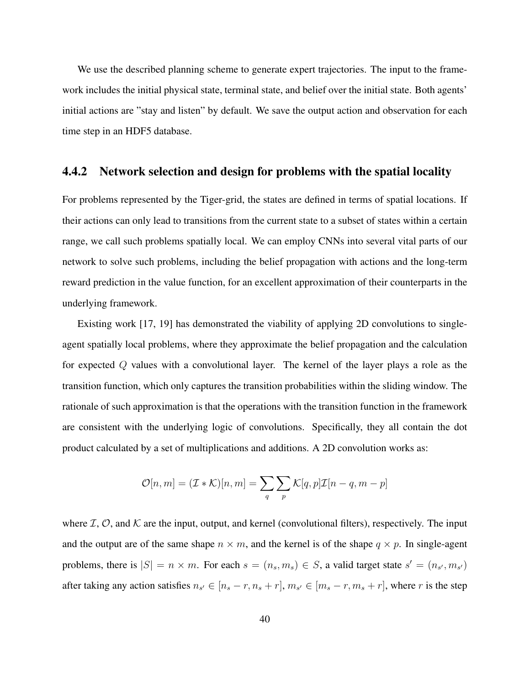We use the described planning scheme to generate expert trajectories. The input to the framework includes the initial physical state, terminal state, and belief over the initial state. Both agents' initial actions are "stay and listen" by default. We save the output action and observation for each time step in an HDF5 database.

#### 4.4.2 Network selection and design for problems with the spatial locality

For problems represented by the Tiger-grid, the states are defined in terms of spatial locations. If their actions can only lead to transitions from the current state to a subset of states within a certain range, we call such problems spatially local. We can employ CNNs into several vital parts of our network to solve such problems, including the belief propagation with actions and the long-term reward prediction in the value function, for an excellent approximation of their counterparts in the underlying framework.

Existing work [\[17,](#page-60-1) [19\]](#page-60-3) has demonstrated the viability of applying 2D convolutions to singleagent spatially local problems, where they approximate the belief propagation and the calculation for expected Q values with a convolutional layer. The kernel of the layer plays a role as the transition function, which only captures the transition probabilities within the sliding window. The rationale of such approximation is that the operations with the transition function in the framework are consistent with the underlying logic of convolutions. Specifically, they all contain the dot product calculated by a set of multiplications and additions. A 2D convolution works as:

$$
\mathcal{O}[n,m] = (\mathcal{I} * \mathcal{K})[n,m] = \sum_{q} \sum_{p} \mathcal{K}[q,p] \mathcal{I}[n-q,m-p]
$$

where  $\mathcal{I}, \mathcal{O}$ , and  $\mathcal{K}$  are the input, output, and kernel (convolutional filters), respectively. The input and the output are of the same shape  $n \times m$ , and the kernel is of the shape  $q \times p$ . In single-agent problems, there is  $|S| = n \times m$ . For each  $s = (n_s, m_s) \in S$ , a valid target state  $s' = (n_{s'}, m_{s'})$ after taking any action satisfies  $n_{s'} \in [n_s - r, n_s + r]$ ,  $m_{s'} \in [m_s - r, m_s + r]$ , where r is the step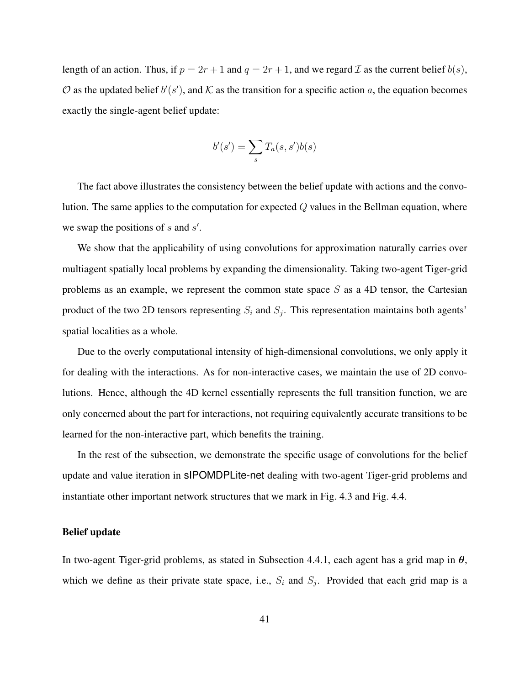length of an action. Thus, if  $p = 2r + 1$  and  $q = 2r + 1$ , and we regard  $\mathcal I$  as the current belief  $b(s)$ ,  $\mathcal O$  as the updated belief  $b'(s')$ , and  $\mathcal K$  as the transition for a specific action a, the equation becomes exactly the single-agent belief update:

$$
b'(s') = \sum_{s} T_a(s, s')b(s)
$$

The fact above illustrates the consistency between the belief update with actions and the convolution. The same applies to the computation for expected  $Q$  values in the Bellman equation, where we swap the positions of  $s$  and  $s'$ .

We show that the applicability of using convolutions for approximation naturally carries over multiagent spatially local problems by expanding the dimensionality. Taking two-agent Tiger-grid problems as an example, we represent the common state space  $S$  as a 4D tensor, the Cartesian product of the two 2D tensors representing  $S_i$  and  $S_j$ . This representation maintains both agents' spatial localities as a whole.

Due to the overly computational intensity of high-dimensional convolutions, we only apply it for dealing with the interactions. As for non-interactive cases, we maintain the use of 2D convolutions. Hence, although the 4D kernel essentially represents the full transition function, we are only concerned about the part for interactions, not requiring equivalently accurate transitions to be learned for the non-interactive part, which benefits the training.

In the rest of the subsection, we demonstrate the specific usage of convolutions for the belief update and value iteration in sIPOMDPLite-net dealing with two-agent Tiger-grid problems and instantiate other important network structures that we mark in Fig. [4.3](#page-50-0) and Fig. [4.4.](#page-52-0)

#### <span id="page-49-0"></span>Belief update

In two-agent Tiger-grid problems, as stated in Subsection [4.4.1,](#page-47-1) each agent has a grid map in  $\theta$ , which we define as their private state space, i.e.,  $S_i$  and  $S_j$ . Provided that each grid map is a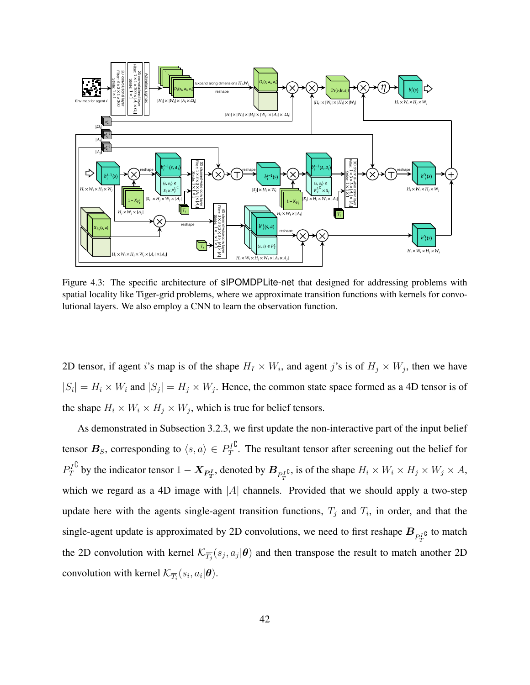<span id="page-50-0"></span>

Figure 4.3: The specific architecture of **sIPOMDPLite-net** that designed for addressing problems with spatial locality like Tiger-grid problems, where we approximate transition functions with kernels for convolutional layers. We also employ a CNN to learn the observation function.

2D tensor, if agent i's map is of the shape  $H_I \times W_i$ , and agent j's is of  $H_j \times W_j$ , then we have  $|S_i| = H_i \times W_i$  and  $|S_j| = H_j \times W_j$ . Hence, the common state space formed as a 4D tensor is of the shape  $H_i \times W_i \times H_j \times W_j$ , which is true for belief tensors.

As demonstrated in Subsection [3.2.3,](#page-31-1) we first update the non-interactive part of the input belief tensor  $\boldsymbol{B}_{S}$ , corresponding to  $\langle s, a \rangle \in P_{T}^{I}$  $\mathbb{C}$ . The resultant tensor after screening out the belief for  $P_T^I$ <sup>C</sup> by the indicator tensor  $1 - \mathbf{X}_{\mathbf{P_T^I}}$ , denoted by  $\mathbf{B}_{P_T^I}$ , is of the shape  $H_i \times W_i \times H_j \times W_j \times A$ , which we regard as a 4D image with  $|A|$  channels. Provided that we should apply a two-step update here with the agents single-agent transition functions,  $T_j$  and  $T_i$ , in order, and that the single-agent update is approximated by 2D convolutions, we need to first reshape  $B_{P_T^{I^C}}$  to match the 2D convolution with kernel  $\mathcal{K}_{\overline{T_j}}(s_j, a_j | \theta)$  and then transpose the result to match another 2D convolution with kernel  $\mathcal{K}_{\overline{T_i}}(s_i, a_i|\boldsymbol{\theta}).$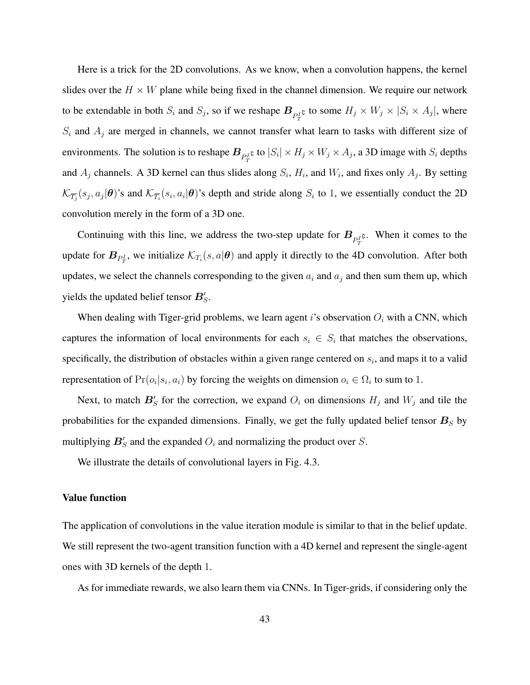Here is a trick for the 2D convolutions. As we know, when a convolution happens, the kernel slides over the  $H \times W$  plane while being fixed in the channel dimension. We require our network to be extendable in both  $S_i$  and  $S_j$ , so if we reshape  $B_{P_T^I}$  to some  $H_j \times W_j \times |S_i \times A_j|$ , where  $S_i$  and  $A_j$  are merged in channels, we cannot transfer what learn to tasks with different size of environments. The solution is to reshape  $B_{P_T^I}$  to  $|S_i| \times H_j \times W_j \times A_j$ , a 3D image with  $S_i$  depths and  $A_j$  channels. A 3D kernel can thus slides along  $S_i$ ,  $H_i$ , and  $W_i$ , and fixes only  $A_j$ . By setting  $\mathcal{K}_{\overline{T_i}}(s_j,a_j|\bm{\theta})$ 's and  $\mathcal{K}_{\overline{T_i}}(s_i,a_i|\bm{\theta})$ 's depth and stride along  $S_i$  to 1, we essentially conduct the 2D convolution merely in the form of a 3D one.

Continuing with this line, we address the two-step update for  $B_{P_T^{I_1}}$ . When it comes to the update for  $B_{P_T^I}$ , we initialize  $\mathcal{K}_{T_i}(s, a | \theta)$  and apply it directly to the 4D convolution. After both updates, we select the channels corresponding to the given  $a_i$  and  $a_j$  and then sum them up, which yields the updated belief tensor  $B_S'$ .

When dealing with Tiger-grid problems, we learn agent i's observation  $O_i$  with a CNN, which captures the information of local environments for each  $s_i \in S_i$  that matches the observations, specifically, the distribution of obstacles within a given range centered on  $s_i$ , and maps it to a valid representation of  $Pr(o_i|s_i, a_i)$  by forcing the weights on dimension  $o_i \in \Omega_i$  to sum to 1.

Next, to match  $B'_{S}$  for the correction, we expand  $O_i$  on dimensions  $H_j$  and  $W_j$  and tile the probabilities for the expanded dimensions. Finally, we get the fully updated belief tensor  $B<sub>S</sub>$  by multiplying  $B'_{S}$  and the expanded  $O_{i}$  and normalizing the product over S.

We illustrate the details of convolutional layers in Fig. [4.3.](#page-50-0)

#### Value function

The application of convolutions in the value iteration module is similar to that in the belief update. We still represent the two-agent transition function with a 4D kernel and represent the single-agent ones with 3D kernels of the depth 1.

As for immediate rewards, we also learn them via CNNs. In Tiger-grids, if considering only the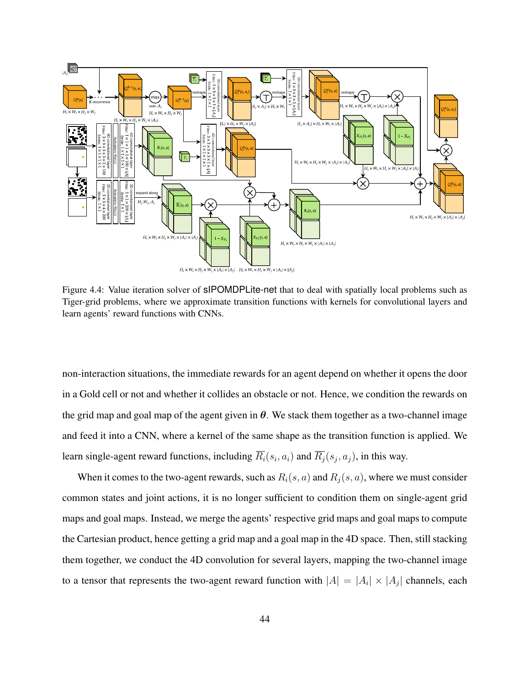<span id="page-52-0"></span>

Figure 4.4: Value iteration solver of sIPOMDPLite-net that to deal with spatially local problems such as Tiger-grid problems, where we approximate transition functions with kernels for convolutional layers and learn agents' reward functions with CNNs.

non-interaction situations, the immediate rewards for an agent depend on whether it opens the door in a Gold cell or not and whether it collides an obstacle or not. Hence, we condition the rewards on the grid map and goal map of the agent given in  $\theta$ . We stack them together as a two-channel image and feed it into a CNN, where a kernel of the same shape as the transition function is applied. We learn single-agent reward functions, including  $R_i(s_i, a_i)$  and  $R_j(s_j, a_j)$ , in this way.

When it comes to the two-agent rewards, such as  $R_i(s, a)$  and  $R_j(s, a)$ , where we must consider common states and joint actions, it is no longer sufficient to condition them on single-agent grid maps and goal maps. Instead, we merge the agents' respective grid maps and goal maps to compute the Cartesian product, hence getting a grid map and a goal map in the 4D space. Then, still stacking them together, we conduct the 4D convolution for several layers, mapping the two-channel image to a tensor that represents the two-agent reward function with  $|A| = |A_i| \times |A_j|$  channels, each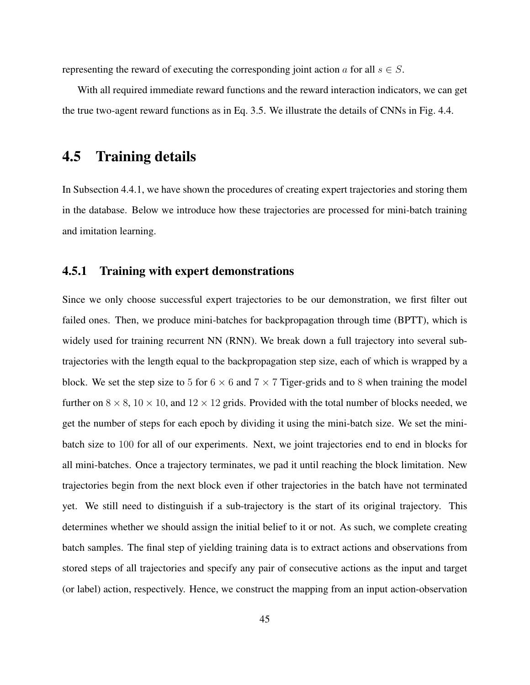representing the reward of executing the corresponding joint action a for all  $s \in S$ .

With all required immediate reward functions and the reward interaction indicators, we can get the true two-agent reward functions as in Eq. [3.5.](#page-26-0) We illustrate the details of CNNs in Fig. [4.4.](#page-52-0)

## <span id="page-53-0"></span>4.5 Training details

In Subsection [4.4.1,](#page-47-1) we have shown the procedures of creating expert trajectories and storing them in the database. Below we introduce how these trajectories are processed for mini-batch training and imitation learning.

#### 4.5.1 Training with expert demonstrations

Since we only choose successful expert trajectories to be our demonstration, we first filter out failed ones. Then, we produce mini-batches for backpropagation through time (BPTT), which is widely used for training recurrent NN (RNN). We break down a full trajectory into several subtrajectories with the length equal to the backpropagation step size, each of which is wrapped by a block. We set the step size to 5 for  $6 \times 6$  and  $7 \times 7$  Tiger-grids and to 8 when training the model further on  $8 \times 8$ ,  $10 \times 10$ , and  $12 \times 12$  grids. Provided with the total number of blocks needed, we get the number of steps for each epoch by dividing it using the mini-batch size. We set the minibatch size to 100 for all of our experiments. Next, we joint trajectories end to end in blocks for all mini-batches. Once a trajectory terminates, we pad it until reaching the block limitation. New trajectories begin from the next block even if other trajectories in the batch have not terminated yet. We still need to distinguish if a sub-trajectory is the start of its original trajectory. This determines whether we should assign the initial belief to it or not. As such, we complete creating batch samples. The final step of yielding training data is to extract actions and observations from stored steps of all trajectories and specify any pair of consecutive actions as the input and target (or label) action, respectively. Hence, we construct the mapping from an input action-observation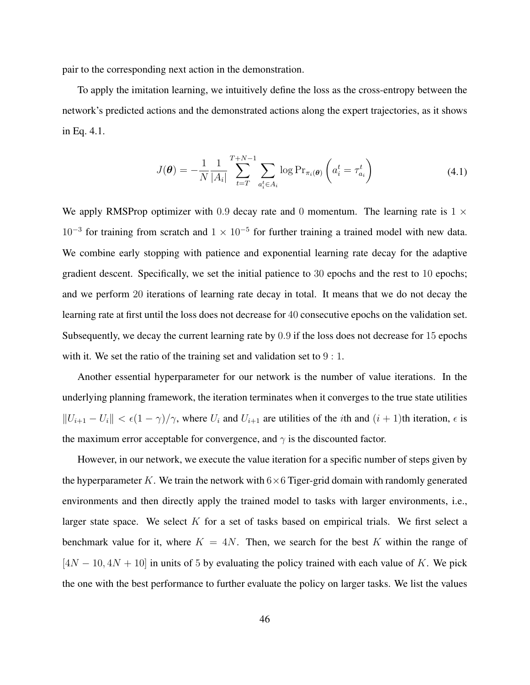pair to the corresponding next action in the demonstration.

To apply the imitation learning, we intuitively define the loss as the cross-entropy between the network's predicted actions and the demonstrated actions along the expert trajectories, as it shows in Eq. [4.1.](#page-54-0)

<span id="page-54-0"></span>
$$
J(\boldsymbol{\theta}) = -\frac{1}{N} \frac{1}{|A_i|} \sum_{t=T}^{T+N-1} \sum_{a_i^t \in A_i} \log \Pr_{\pi_i(\boldsymbol{\theta})} \left( a_i^t = \tau_{a_i}^t \right)
$$
(4.1)

We apply RMSProp optimizer with 0.9 decay rate and 0 momentum. The learning rate is  $1 \times$ 10<sup>-3</sup> for training from scratch and  $1 \times 10^{-5}$  for further training a trained model with new data. We combine early stopping with patience and exponential learning rate decay for the adaptive gradient descent. Specifically, we set the initial patience to 30 epochs and the rest to 10 epochs; and we perform 20 iterations of learning rate decay in total. It means that we do not decay the learning rate at first until the loss does not decrease for 40 consecutive epochs on the validation set. Subsequently, we decay the current learning rate by 0.9 if the loss does not decrease for 15 epochs with it. We set the ratio of the training set and validation set to  $9:1$ .

Another essential hyperparameter for our network is the number of value iterations. In the underlying planning framework, the iteration terminates when it converges to the true state utilities  $||U_{i+1} - U_i|| < \epsilon(1 - \gamma)/\gamma$ , where  $U_i$  and  $U_{i+1}$  are utilities of the *i*th and  $(i + 1)$ th iteration,  $\epsilon$  is the maximum error acceptable for convergence, and  $\gamma$  is the discounted factor.

However, in our network, we execute the value iteration for a specific number of steps given by the hyperparameter K. We train the network with  $6\times 6$  Tiger-grid domain with randomly generated environments and then directly apply the trained model to tasks with larger environments, i.e., larger state space. We select  $K$  for a set of tasks based on empirical trials. We first select a benchmark value for it, where  $K = 4N$ . Then, we search for the best K within the range of  $[4N - 10, 4N + 10]$  in units of 5 by evaluating the policy trained with each value of K. We pick the one with the best performance to further evaluate the policy on larger tasks. We list the values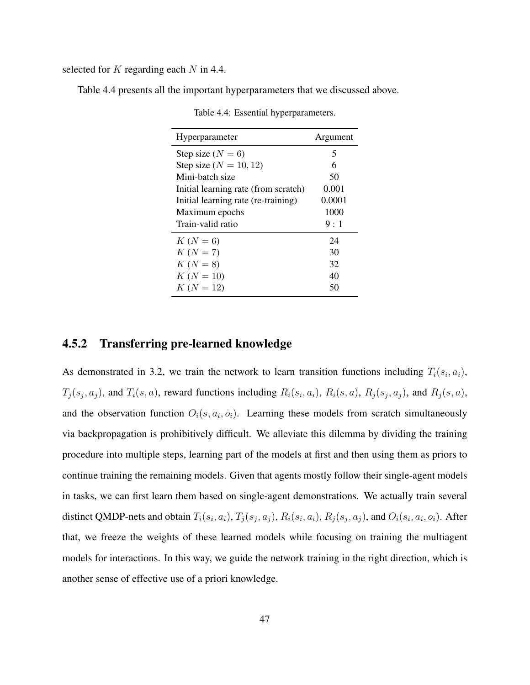selected for  $K$  regarding each  $N$  in [4.4.](#page-55-0)

<span id="page-55-0"></span>Table [4.4](#page-55-0) presents all the important hyperparameters that we discussed above.

| Hyperparameter                       | Argument |  |
|--------------------------------------|----------|--|
| Step size $(N = 6)$                  | 5        |  |
| Step size $(N = 10, 12)$             | 6        |  |
| Mini-batch size                      | 50       |  |
| Initial learning rate (from scratch) | 0.001    |  |
| Initial learning rate (re-training)  | 0.0001   |  |
| Maximum epochs                       | 1000     |  |
| Train-valid ratio                    | 9:1      |  |
| $K(N = 6)$                           | 24       |  |
| $K(N = 7)$                           | 30       |  |
| $K (N = 8)$                          | 32       |  |
| $K(N = 10)$                          | 40       |  |
| $K(N = 12)$                          | 50       |  |

Table 4.4: Essential hyperparameters.

### 4.5.2 Transferring pre-learned knowledge

As demonstrated in [3.2,](#page-27-0) we train the network to learn transition functions including  $T_i(s_i, a_i)$ ,  $T_j(s_j, a_j)$ , and  $T_i(s, a)$ , reward functions including  $R_i(s_i, a_i)$ ,  $R_i(s, a)$ ,  $R_j(s_j, a_j)$ , and  $R_j(s, a)$ , and the observation function  $O_i(s, a_i, o_i)$ . Learning these models from scratch simultaneously via backpropagation is prohibitively difficult. We alleviate this dilemma by dividing the training procedure into multiple steps, learning part of the models at first and then using them as priors to continue training the remaining models. Given that agents mostly follow their single-agent models in tasks, we can first learn them based on single-agent demonstrations. We actually train several distinct QMDP-nets and obtain  $T_i(s_i, a_i)$ ,  $T_j(s_j, a_j)$ ,  $R_i(s_i, a_i)$ ,  $R_j(s_j, a_j)$ , and  $O_i(s_i, a_i, o_i)$ . After that, we freeze the weights of these learned models while focusing on training the multiagent models for interactions. In this way, we guide the network training in the right direction, which is another sense of effective use of a priori knowledge.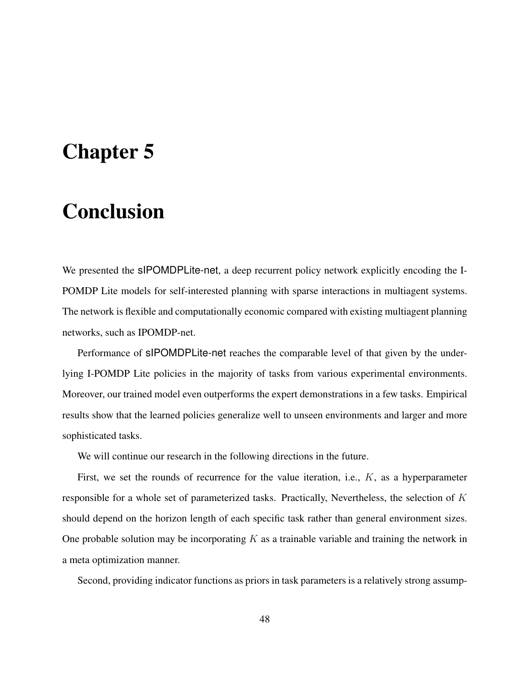# <span id="page-56-0"></span>Chapter 5

# Conclusion

We presented the sIPOMDPLite-net, a deep recurrent policy network explicitly encoding the I-POMDP Lite models for self-interested planning with sparse interactions in multiagent systems. The network is flexible and computationally economic compared with existing multiagent planning networks, such as IPOMDP-net.

Performance of sIPOMDPLite-net reaches the comparable level of that given by the underlying I-POMDP Lite policies in the majority of tasks from various experimental environments. Moreover, our trained model even outperforms the expert demonstrations in a few tasks. Empirical results show that the learned policies generalize well to unseen environments and larger and more sophisticated tasks.

We will continue our research in the following directions in the future.

First, we set the rounds of recurrence for the value iteration, i.e.,  $K$ , as a hyperparameter responsible for a whole set of parameterized tasks. Practically, Nevertheless, the selection of  $K$ should depend on the horizon length of each specific task rather than general environment sizes. One probable solution may be incorporating  $K$  as a trainable variable and training the network in a meta optimization manner.

Second, providing indicator functions as priors in task parameters is a relatively strong assump-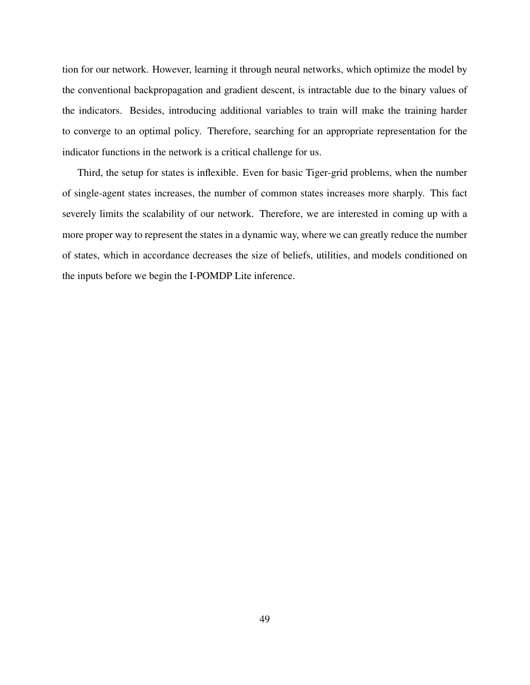tion for our network. However, learning it through neural networks, which optimize the model by the conventional backpropagation and gradient descent, is intractable due to the binary values of the indicators. Besides, introducing additional variables to train will make the training harder to converge to an optimal policy. Therefore, searching for an appropriate representation for the indicator functions in the network is a critical challenge for us.

Third, the setup for states is inflexible. Even for basic Tiger-grid problems, when the number of single-agent states increases, the number of common states increases more sharply. This fact severely limits the scalability of our network. Therefore, we are interested in coming up with a more proper way to represent the states in a dynamic way, where we can greatly reduce the number of states, which in accordance decreases the size of beliefs, utilities, and models conditioned on the inputs before we begin the I-POMDP Lite inference.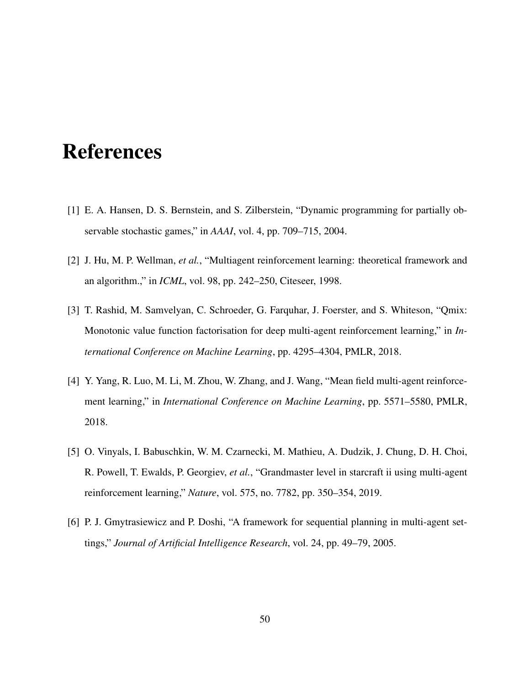# **References**

- <span id="page-58-0"></span>[1] E. A. Hansen, D. S. Bernstein, and S. Zilberstein, "Dynamic programming for partially observable stochastic games," in *AAAI*, vol. 4, pp. 709–715, 2004.
- <span id="page-58-1"></span>[2] J. Hu, M. P. Wellman, *et al.*, "Multiagent reinforcement learning: theoretical framework and an algorithm.," in *ICML*, vol. 98, pp. 242–250, Citeseer, 1998.
- <span id="page-58-2"></span>[3] T. Rashid, M. Samvelyan, C. Schroeder, G. Farquhar, J. Foerster, and S. Whiteson, "Qmix: Monotonic value function factorisation for deep multi-agent reinforcement learning," in *International Conference on Machine Learning*, pp. 4295–4304, PMLR, 2018.
- <span id="page-58-3"></span>[4] Y. Yang, R. Luo, M. Li, M. Zhou, W. Zhang, and J. Wang, "Mean field multi-agent reinforcement learning," in *International Conference on Machine Learning*, pp. 5571–5580, PMLR, 2018.
- <span id="page-58-4"></span>[5] O. Vinyals, I. Babuschkin, W. M. Czarnecki, M. Mathieu, A. Dudzik, J. Chung, D. H. Choi, R. Powell, T. Ewalds, P. Georgiev, *et al.*, "Grandmaster level in starcraft ii using multi-agent reinforcement learning," *Nature*, vol. 575, no. 7782, pp. 350–354, 2019.
- <span id="page-58-5"></span>[6] P. J. Gmytrasiewicz and P. Doshi, "A framework for sequential planning in multi-agent settings," *Journal of Artificial Intelligence Research*, vol. 24, pp. 49–79, 2005.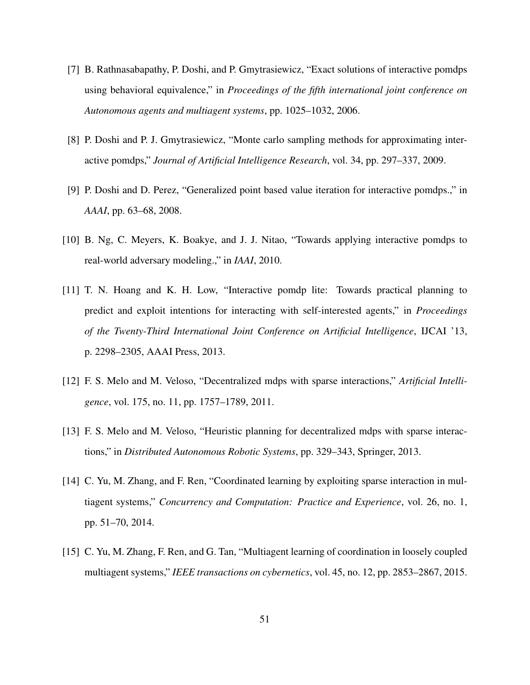- <span id="page-59-0"></span>[7] B. Rathnasabapathy, P. Doshi, and P. Gmytrasiewicz, "Exact solutions of interactive pomdps using behavioral equivalence," in *Proceedings of the fifth international joint conference on Autonomous agents and multiagent systems*, pp. 1025–1032, 2006.
- <span id="page-59-1"></span>[8] P. Doshi and P. J. Gmytrasiewicz, "Monte carlo sampling methods for approximating interactive pomdps," *Journal of Artificial Intelligence Research*, vol. 34, pp. 297–337, 2009.
- <span id="page-59-2"></span>[9] P. Doshi and D. Perez, "Generalized point based value iteration for interactive pomdps.," in *AAAI*, pp. 63–68, 2008.
- <span id="page-59-3"></span>[10] B. Ng, C. Meyers, K. Boakye, and J. J. Nitao, "Towards applying interactive pomdps to real-world adversary modeling.," in *IAAI*, 2010.
- <span id="page-59-4"></span>[11] T. N. Hoang and K. H. Low, "Interactive pomdp lite: Towards practical planning to predict and exploit intentions for interacting with self-interested agents," in *Proceedings of the Twenty-Third International Joint Conference on Artificial Intelligence*, IJCAI '13, p. 2298–2305, AAAI Press, 2013.
- <span id="page-59-5"></span>[12] F. S. Melo and M. Veloso, "Decentralized mdps with sparse interactions," *Artificial Intelligence*, vol. 175, no. 11, pp. 1757–1789, 2011.
- <span id="page-59-6"></span>[13] F. S. Melo and M. Veloso, "Heuristic planning for decentralized mdps with sparse interactions," in *Distributed Autonomous Robotic Systems*, pp. 329–343, Springer, 2013.
- <span id="page-59-7"></span>[14] C. Yu, M. Zhang, and F. Ren, "Coordinated learning by exploiting sparse interaction in multiagent systems," *Concurrency and Computation: Practice and Experience*, vol. 26, no. 1, pp. 51–70, 2014.
- <span id="page-59-8"></span>[15] C. Yu, M. Zhang, F. Ren, and G. Tan, "Multiagent learning of coordination in loosely coupled multiagent systems," *IEEE transactions on cybernetics*, vol. 45, no. 12, pp. 2853–2867, 2015.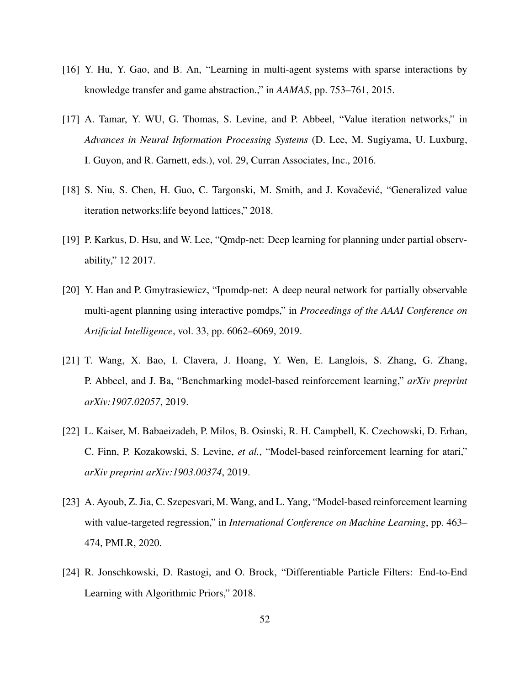- <span id="page-60-0"></span>[16] Y. Hu, Y. Gao, and B. An, "Learning in multi-agent systems with sparse interactions by knowledge transfer and game abstraction.," in *AAMAS*, pp. 753–761, 2015.
- <span id="page-60-1"></span>[17] A. Tamar, Y. WU, G. Thomas, S. Levine, and P. Abbeel, "Value iteration networks," in *Advances in Neural Information Processing Systems* (D. Lee, M. Sugiyama, U. Luxburg, I. Guyon, and R. Garnett, eds.), vol. 29, Curran Associates, Inc., 2016.
- <span id="page-60-2"></span>[18] S. Niu, S. Chen, H. Guo, C. Targonski, M. Smith, and J. Kovačević, "Generalized value iteration networks:life beyond lattices," 2018.
- <span id="page-60-3"></span>[19] P. Karkus, D. Hsu, and W. Lee, "Qmdp-net: Deep learning for planning under partial observability," 12 2017.
- <span id="page-60-4"></span>[20] Y. Han and P. Gmytrasiewicz, "Ipomdp-net: A deep neural network for partially observable multi-agent planning using interactive pomdps," in *Proceedings of the AAAI Conference on Artificial Intelligence*, vol. 33, pp. 6062–6069, 2019.
- <span id="page-60-5"></span>[21] T. Wang, X. Bao, I. Clavera, J. Hoang, Y. Wen, E. Langlois, S. Zhang, G. Zhang, P. Abbeel, and J. Ba, "Benchmarking model-based reinforcement learning," *arXiv preprint arXiv:1907.02057*, 2019.
- <span id="page-60-6"></span>[22] L. Kaiser, M. Babaeizadeh, P. Milos, B. Osinski, R. H. Campbell, K. Czechowski, D. Erhan, C. Finn, P. Kozakowski, S. Levine, *et al.*, "Model-based reinforcement learning for atari," *arXiv preprint arXiv:1903.00374*, 2019.
- <span id="page-60-7"></span>[23] A. Ayoub, Z. Jia, C. Szepesvari, M. Wang, and L. Yang, "Model-based reinforcement learning with value-targeted regression," in *International Conference on Machine Learning*, pp. 463– 474, PMLR, 2020.
- <span id="page-60-8"></span>[24] R. Jonschkowski, D. Rastogi, and O. Brock, "Differentiable Particle Filters: End-to-End Learning with Algorithmic Priors," 2018.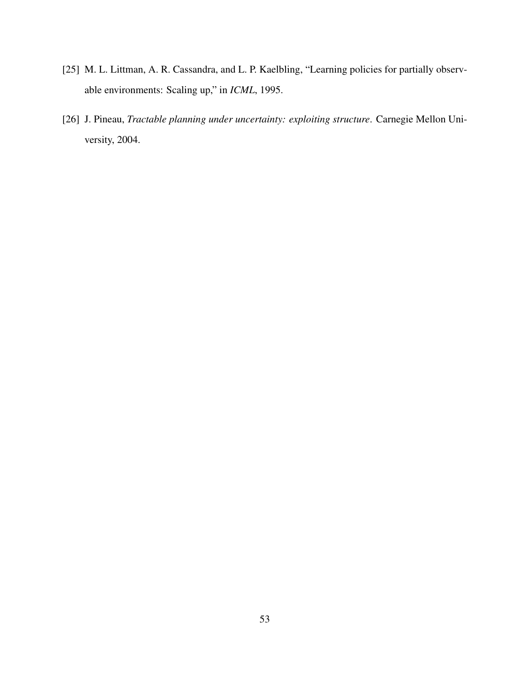- <span id="page-61-0"></span>[25] M. L. Littman, A. R. Cassandra, and L. P. Kaelbling, "Learning policies for partially observable environments: Scaling up," in *ICML*, 1995.
- <span id="page-61-1"></span>[26] J. Pineau, *Tractable planning under uncertainty: exploiting structure*. Carnegie Mellon University, 2004.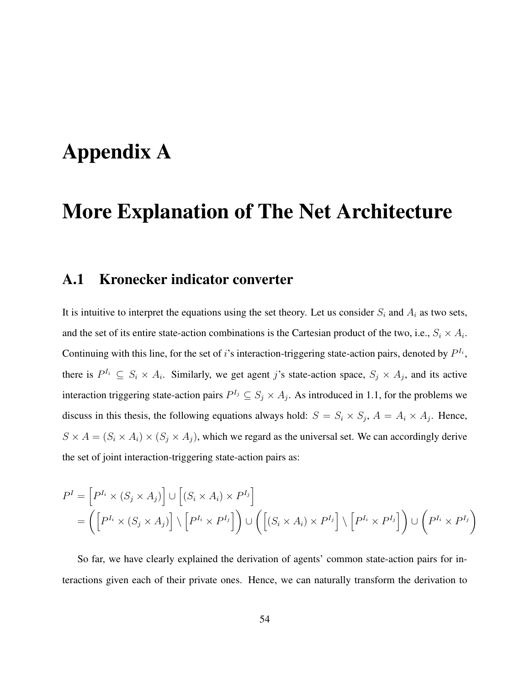# <span id="page-62-0"></span>Appendix A

# More Explanation of The Net Architecture

## <span id="page-62-1"></span>A.1 Kronecker indicator converter

It is intuitive to interpret the equations using the set theory. Let us consider  $S_i$  and  $A_i$  as two sets, and the set of its entire state-action combinations is the Cartesian product of the two, i.e.,  $S_i \times A_i$ . Continuing with this line, for the set of i's interaction-triggering state-action pairs, denoted by  $P^{I_i}$ , there is  $P^{I_i} \subseteq S_i \times A_i$ . Similarly, we get agent j's state-action space,  $S_j \times A_j$ , and its active interaction triggering state-action pairs  $P^{I_j} \subseteq S_j \times A_j$ . As introduced in [1.1,](#page-13-0) for the problems we discuss in this thesis, the following equations always hold:  $S = S_i \times S_j$ ,  $A = A_i \times A_j$ . Hence,  $S \times A = (S_i \times A_i) \times (S_j \times A_j)$ , which we regard as the universal set. We can accordingly derive the set of joint interaction-triggering state-action pairs as:

$$
P^{I} = \left[ P^{I_{i}} \times (S_{j} \times A_{j}) \right] \cup \left[ (S_{i} \times A_{i}) \times P^{I_{j}} \right]
$$
  
= 
$$
\left( \left[ P^{I_{i}} \times (S_{j} \times A_{j}) \right] \setminus \left[ P^{I_{i}} \times P^{I_{j}} \right] \right) \cup \left( \left[ (S_{i} \times A_{i}) \times P^{I_{j}} \right] \setminus \left[ P^{I_{i}} \times P^{I_{j}} \right] \right) \cup \left( P^{I_{i}} \times P^{I_{j}} \right)
$$

So far, we have clearly explained the derivation of agents' common state-action pairs for interactions given each of their private ones. Hence, we can naturally transform the derivation to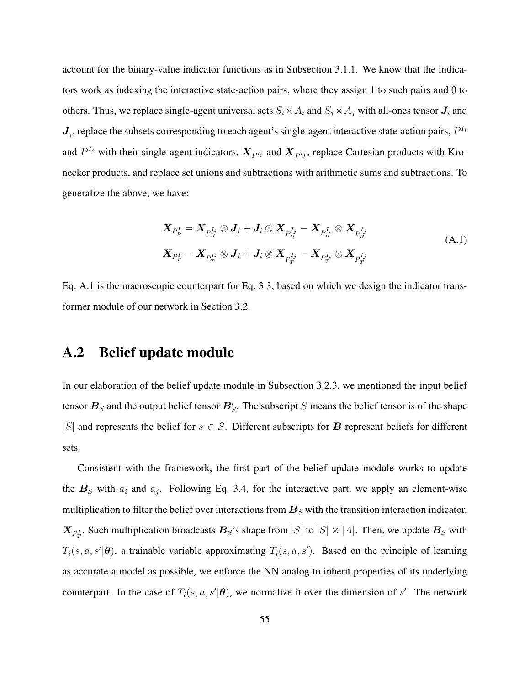account for the binary-value indicator functions as in Subsection [3.1.1.](#page-24-3) We know that the indicators work as indexing the interactive state-action pairs, where they assign 1 to such pairs and 0 to others. Thus, we replace single-agent universal sets  $S_i \times A_i$  and  $S_j \times A_j$  with all-ones tensor  $J_i$  and  $J_j$ , replace the subsets corresponding to each agent's single-agent interactive state-action pairs,  $P^{I_i}$ and  $P^{I_j}$  with their single-agent indicators,  $X_{P^{I_i}}$  and  $X_{P^{I_j}}$ , replace Cartesian products with Kronecker products, and replace set unions and subtractions with arithmetic sums and subtractions. To generalize the above, we have:

<span id="page-63-1"></span>
$$
\mathbf{X}_{P_R^I} = \mathbf{X}_{P_R^{I_i}} \otimes \mathbf{J}_j + \mathbf{J}_i \otimes \mathbf{X}_{P_R^{I_j}} - \mathbf{X}_{P_R^{I_i}} \otimes \mathbf{X}_{P_R^{I_j}} \n\mathbf{X}_{P_T^I} = \mathbf{X}_{P_T^{I_i}} \otimes \mathbf{J}_j + \mathbf{J}_i \otimes \mathbf{X}_{P_T^{I_j}} - \mathbf{X}_{P_T^{I_i}} \otimes \mathbf{X}_{P_T^{I_j}} \tag{A.1}
$$

Eq. [A.1](#page-63-1) is the macroscopic counterpart for Eq. [3.3,](#page-24-2) based on which we design the indicator transformer module of our network in Section [3.2.](#page-27-0)

## <span id="page-63-0"></span>A.2 Belief update module

In our elaboration of the belief update module in Subsection [3.2.3,](#page-31-1) we mentioned the input belief tensor  $B<sub>S</sub>$  and the output belief tensor  $B'_{S}$ . The subscript S means the belief tensor is of the shape |S| and represents the belief for  $s \in S$ . Different subscripts for B represent beliefs for different sets.

Consistent with the framework, the first part of the belief update module works to update the  $B<sub>S</sub>$  with  $a<sub>i</sub>$  and  $a<sub>j</sub>$ . Following Eq. [3.4,](#page-25-0) for the interactive part, we apply an element-wise multiplication to filter the belief over interactions from  $B<sub>S</sub>$  with the transition interaction indicator,  $\bm{X}_{P_T^I}$ . Such multiplication broadcasts  $\bm{B}_S$ 's shape from  $|S|$  to  $|S| \times |A|$ . Then, we update  $\bm{B}_S$  with  $T_i(s, a, s'|\theta)$ , a trainable variable approximating  $T_i(s, a, s')$ . Based on the principle of learning as accurate a model as possible, we enforce the NN analog to inherit properties of its underlying counterpart. In the case of  $T_i(s, a, s' | \theta)$ , we normalize it over the dimension of s'. The network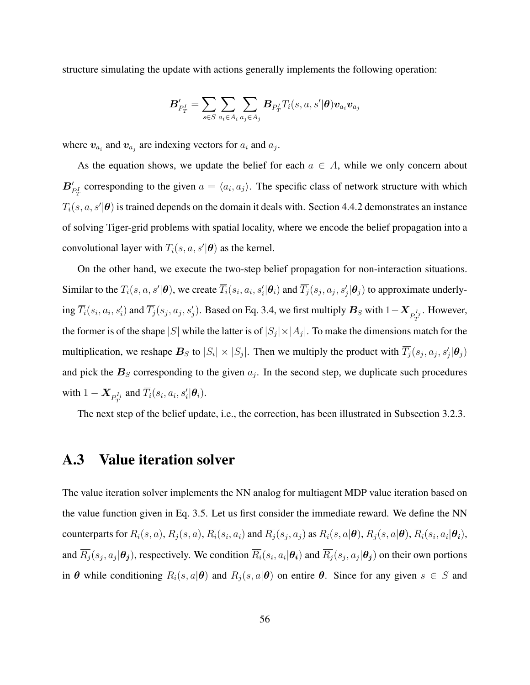structure simulating the update with actions generally implements the following operation:

$$
\boldsymbol{B}'_{P_T^I} = \sum_{s\in S}\sum_{a_i\in A_i}\sum_{a_j\in A_j}\boldsymbol{B}_{P_T^I}T_i(s,a,s'|\boldsymbol{\theta})\boldsymbol{v}_{a_i}\boldsymbol{v}_{a_j}
$$

where  $v_{a_i}$  and  $v_{a_j}$  are indexing vectors for  $a_i$  and  $a_j$ .

As the equation shows, we update the belief for each  $a \in A$ , while we only concern about  $B'_{P_T^I}$  corresponding to the given  $a = \langle a_i, a_j \rangle$ . The specific class of network structure with which  $T_i(s, a, s' | \theta)$  is trained depends on the domain it deals with. Section [4.4.2](#page-49-0) demonstrates an instance of solving Tiger-grid problems with spatial locality, where we encode the belief propagation into a convolutional layer with  $T_i(s, a, s'|\theta)$  as the kernel.

On the other hand, we execute the two-step belief propagation for non-interaction situations. Similar to the  $T_i(s, a, s'|\theta)$ , we create  $\overline{T_i}(s_i, a_i, s'_i|\theta_i)$  and  $\overline{T_j}(s_j, a_j, s'_j|\theta_j)$  to approximate underlying  $\overline{T_i}(s_i,a_i,s'_i)$  and  $\overline{T_j}(s_j,a_j,s'_j)$ . Based on Eq. [3.4,](#page-25-0) we first multiply  $\bm{B}_S$  with  $1-\bm{X}_{P_T^{I_j}}$ . However, the former is of the shape  $|S|$  while the latter is of  $|S_j| \times |A_j|$ . To make the dimensions match for the multiplication, we reshape  $B_S$  to  $|S_i| \times |S_j|$ . Then we multiply the product with  $\overline{T}_j(s_j, a_j, s'_j | \theta_j)$ and pick the  $B<sub>S</sub>$  corresponding to the given  $a<sub>j</sub>$ . In the second step, we duplicate such procedures with  $1 - \boldsymbol{X}_{P_T^{I_i}}$  and  $\overline{T}_i(s_i, a_i, s'_i | \boldsymbol{\theta}_i)$ .

The next step of the belief update, i.e., the correction, has been illustrated in Subsection [3.2.3.](#page-31-1)

### <span id="page-64-0"></span>A.3 Value iteration solver

The value iteration solver implements the NN analog for multiagent MDP value iteration based on the value function given in Eq. [3.5.](#page-26-0) Let us first consider the immediate reward. We define the NN counterparts for  $R_i(s, a)$ ,  $R_j(s, a)$ ,  $\overline{R_i}(s_i, a_i)$  and  $\overline{R_j}(s_j, a_j)$  as  $R_i(s, a|\theta)$ ,  $R_j(s, a|\theta)$ ,  $\overline{R_i}(s_i, a_i|\theta_i)$ , and  $R_j(s_j, a_j | \theta_j)$ , respectively. We condition  $R_i(s_i, a_i | \theta_i)$  and  $R_j(s_j, a_j | \theta_j)$  on their own portions in  $\theta$  while conditioning  $R_i(s, a|\theta)$  and  $R_j(s, a|\theta)$  on entire  $\theta$ . Since for any given  $s \in S$  and